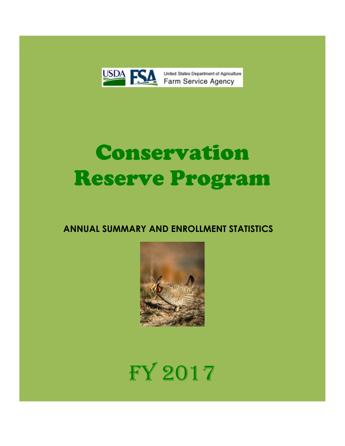

United States Department of Agriculture

# Conservation Reserve Program

## **ANNUAL SUMMARY AND ENROLLMENT STATISTICS**



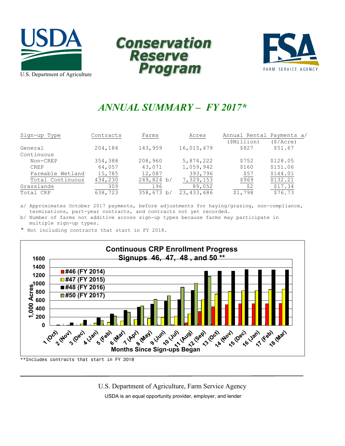





# *ANNUAL SUMMARY – FY 2017\**

| Sign-up Type     | Contracts | Farms         | Acres        | Annual Rental Payments a/ |          |
|------------------|-----------|---------------|--------------|---------------------------|----------|
|                  |           |               |              | (SMillion)                | (S/Acre) |
| General          | 204,184   | 143,959       | 16,015,479   | \$827                     | \$51.67  |
| Continuous       |           |               |              |                           |          |
| Non-CREP         | 354,388   | 208,960       | 5,874,222    | \$752                     | \$128.05 |
| <b>CREP</b>      | 64,057    | 43,071        | 1,059,942    | \$160                     | \$151.06 |
| Farmable Wetland | 15,785    | 12,087        | 393,796      | \$57                      | \$144.01 |
| Total Continuous | 434,230   | 249,824 b/    | 7,329,153    | \$969                     | \$132.21 |
| Grasslands       | 309       | 196           | 89,052       | \$2                       | \$17.34  |
| Total CRP        | 638,723   | 358,673<br>b/ | 23, 433, 686 | \$1,798                   | \$76.73  |

a/ Approximates October 2017 payments, before adjustments for haying/grazing, non-compliance, terminations, part-year contracts, and contracts not yet recorded.

b/ Number of farms not additive across sign-up types because farms may participate in multiple sign-up types.

\* Not including contracts that start in FY 2018.



U.S. Department of Agriculture, Farm Service Agency USDA is an equal opportunity provider, employer, and lender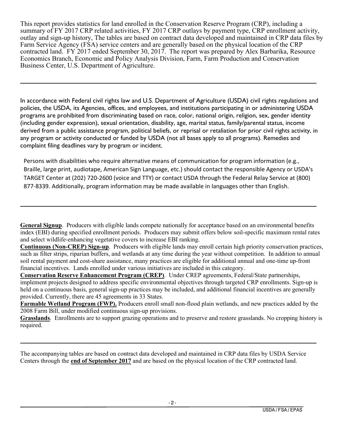This report provides statistics for land enrolled in the Conservation Reserve Program (CRP), including a summary of FY 2017 CRP related activities, FY 2017 CRP outlays by payment type, CRP enrollment activity, outlay and sign-up history, The tables are based on contract data developed and maintained in CRP data files by Farm Service Agency (FSA) service centers and are generally based on the physical location of the CRP contracted land. FY 2017 ended September 30, 2017. The report was prepared by Alex Barbarika, Resource Economics Branch, Economic and Policy Analysis Division, Farm, Farm Production and Conservation Business Center, U.S. Department of Agriculture.

In accordance with Federal civil rights law and U.S. Department of Agriculture (USDA) civil rights regulations and policies, the USDA, its Agencies, offices, and employees, and institutions participating in or administering USDA programs are prohibited from discriminating based on race, color, national origin, religion, sex, gender identity (including gender expression), sexual orientation, disability, age, marital status, family/parental status, income derived from a public assistance program, political beliefs, or reprisal or retaliation for prior civil rights activity, in any program or activity conducted or funded by USDA (not all bases apply to all programs). Remedies and complaint filing deadlines vary by program or incident.

Persons with disabilities who require alternative means of communication for program information (e.g., Braille, large print, audiotape, American Sign Language, etc.) should contact the responsible Agency or USDA's TARGET Center at (202) 720-2600 (voice and TTY) or contact USDA through the Federal Relay Service at (800) 877-8339. Additionally, program information may be made available in languages other than English.

**General Signup**. Producers with eligible lands compete nationally for acceptance based on an environmental benefits index (EBI) during specified enrollment periods. Producers may submit offers below soil-specific maximum rental rates and select wildlife-enhancing vegetative covers to increase EBI ranking.

**Continuous (Non-CREP) Sign-up**. Producers with eligible lands may enroll certain high priority conservation practices, such as filter strips, riparian buffers, and wetlands at any time during the year without competition. In addition to annual soil rental payment and cost-share assistance, many practices are eligible for additional annual and one-time up-front financial incentives. Lands enrolled under various initiatives are included in this category.

**Conservation Reserve Enhancement Program (CREP)**. Under CREP agreements, Federal/State partnerships, implement projects designed to address specific environmental objectives through targeted CRP enrollments. Sign-up is held on a continuous basis, general sign-up practices may be included, and additional financial incentives are generally provided. Currently, there are 45 agreements in 33 States.

**Farmable Wetland Program (FWP).** Producers enroll small non-flood plain wetlands, and new practices added by the 2008 Farm Bill, under modified continuous sign-up provisions.

**Grasslands**. Enrollments are to support grazing operations and to preserve and restore grasslands. No cropping history is required.

The accompanying tables are based on contract data developed and maintained in CRP data files by USDA Service Centers through the **end of September 2017** and are based on the physical location of the CRP contracted land.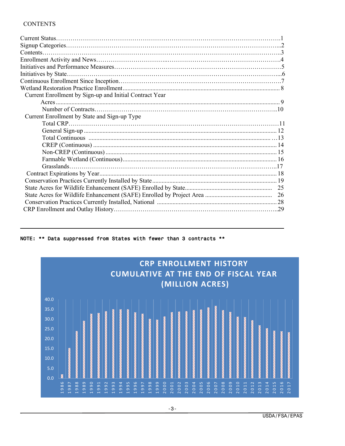#### **CONTENTS**

| Current Enrollment by Sign-up and Initial Contract Year |  |
|---------------------------------------------------------|--|
|                                                         |  |
|                                                         |  |
| Current Enrollment by State and Sign-up Type            |  |
|                                                         |  |
|                                                         |  |
|                                                         |  |
|                                                         |  |
|                                                         |  |
|                                                         |  |
|                                                         |  |
|                                                         |  |
|                                                         |  |
|                                                         |  |
|                                                         |  |
|                                                         |  |
|                                                         |  |



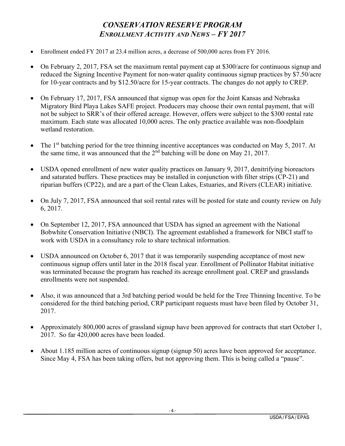## *CONSERVATION RESERVE PROGRAM ENROLLMENT ACTIVITY AND NEWS – FY 2017*

- Enrollment ended FY 2017 at 23.4 million acres, a decrease of 500,000 acres from FY 2016.
- On February 2, 2017, FSA set the maximum rental payment cap at \$300/acre for continuous signup and reduced the Signing Incentive Payment for non-water quality continuous signup practices by \$7.50/acre for 10-year contracts and by \$12.50/acre for 15-year contracts. The changes do not apply to CREP.
- On February 17, 2017, FSA announced that signup was open for the Joint Kansas and Nebraska Migratory Bird Playa Lakes SAFE project. Producers may choose their own rental payment, that will not be subject to SRR's of their offered acreage. However, offers were subject to the \$300 rental rate maximum. Each state was allocated 10,000 acres. The only practice available was non-floodplain wetland restoration.
- The  $1<sup>st</sup>$  batching period for the tree thinning incentive acceptances was conducted on May 5, 2017. At the same time, it was announced that the  $2<sup>nd</sup>$  batching will be done on May 21, 2017.
- USDA opened enrollment of new water quality practices on January 9, 2017, denitrifying bioreactors and saturated buffers. These practices may be installed in conjunction with filter strips (CP-21) and riparian buffers (CP22), and are a part of the Clean Lakes, Estuaries, and Rivers (CLEAR) initiative.
- On July 7, 2017, FSA announced that soil rental rates will be posted for state and county review on July 6, 2017.
- On September 12, 2017, FSA announced that USDA has signed an agreement with the National Bobwhite Conservation Initiative (NBCI). The agreement established a framework for NBCI staff to work with USDA in a consultancy role to share technical information.
- USDA announced on October 6, 2017 that it was temporarily suspending acceptance of most new continuous signup offers until later in the 2018 fiscal year. Enrollment of Pollinator Habitat initiative was terminated because the program has reached its acreage enrollment goal. CREP and grasslands enrollments were not suspended.
- Also, it was announced that a 3rd batching period would be held for the Tree Thinning Incentive. To be considered for the third batching period, CRP participant requests must have been filed by October 31, 2017.
- Approximately 800,000 acres of grassland signup have been approved for contracts that start October 1, 2017. So far 420,000 acres have been loaded.
- About 1.185 million acres of continuous signup (signup 50) acres have been approved for acceptance. Since May 4, FSA has been taking offers, but not approving them. This is being called a "pause".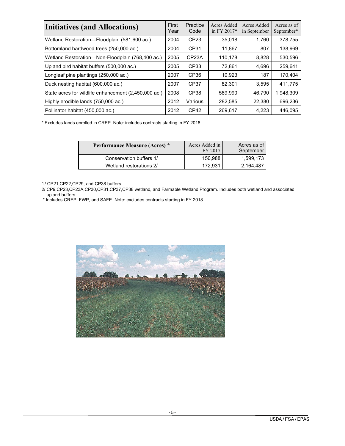| <b>Initiatives (and Allocations)</b>                 | First<br>Year | Practice<br>Code   | Acres Added<br>in FY 2017* | Acres Added<br>in September | Acres as of<br>September* |
|------------------------------------------------------|---------------|--------------------|----------------------------|-----------------------------|---------------------------|
| Wetland Restoration-Floodplain (581,600 ac.)         | 2004          | CP <sub>23</sub>   | 35,018                     | 1.760                       | 378.755                   |
| Bottomland hardwood trees (250,000 ac.)              | 2004          | CP31               | 11,867                     | 807                         | 138,969                   |
| Wetland Restoration-Non-Floodplain (768,400 ac.)     | 2005          | CP <sub>23</sub> A | 110,178                    | 8,828                       | 530,596                   |
| Upland bird habitat buffers (500,000 ac.)            | 2005          | CP33               | 72,861                     | 4.696                       | 259.641                   |
| Longleaf pine plantings (250,000 ac.)                | 2007          | CP <sub>36</sub>   | 10,923                     | 187                         | 170.404                   |
| Duck nesting habitat (600,000 ac.)                   | 2007          | CP37               | 82,301                     | 3.595                       | 411,775                   |
| State acres for wildlife enhancement (2,450,000 ac.) | 2008          | CP <sub>38</sub>   | 589,990                    | 46,790                      | 1,948,309                 |
| Highly erodible lands (750,000 ac.)                  | 2012          | Various            | 282,585                    | 22,380                      | 696.236                   |
| Pollinator habitat (450,000 ac.)                     | 2012          | CP <sub>42</sub>   | 269,617                    | 4,223                       | 446,095                   |

\* Excludes lands enrolled in CREP. Note: includes contracts starting in FY 2018.

| <b>Performance Measure (Acres)</b> * | Acres Added in<br>FY 2017 | Acres as of<br>September |
|--------------------------------------|---------------------------|--------------------------|
| Conservation buffers 1/              | 150.988                   | 1,599,173                |
| Wetland restorations 2/              | 172.931                   | 2,164,487                |

1/ CP21,CP22,CP29, and CP38 buffers.

 2/ CP9,CP23,CP23A,CP30,CP31,CP37,CP38 wetland, and Farmable Wetland Program. Includes both wetland and associated upland buffers.

\* Includes CREP, FWP, and SAFE. Note: excludes contracts starting in FY 2018.

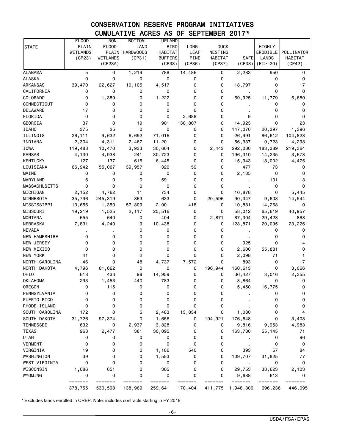## CONSERVATION RESERVE PROGRAM INITIATIVES CUMULATIVE ACRES AS OF SEPTEMBER 2017\*

|                                  | FLOOD-             | NON-               | BOTTOM-            | <b>UPLAND</b>      |                    |                    |                      |                    |                    |
|----------------------------------|--------------------|--------------------|--------------------|--------------------|--------------------|--------------------|----------------------|--------------------|--------------------|
| <b>STATE</b>                     | PLAIN              | FLOOD-             | LAND               | <b>BIRD</b>        | LONG-              | <b>DUCK</b>        |                      | HIGHLY             |                    |
|                                  | <b>WETLANDS</b>    | PLAIN              | <b>HARDWOODS</b>   | HABITAT            | <b>LEAF</b>        | NESTING            |                      | ERODIBLE           | POLLINATOR         |
|                                  | (CP23)             | WETLANDS           | (CP31)             | <b>BUFFERS</b>     | <b>PINE</b>        | HABITAT            | <b>SAFE</b>          | <b>LANDS</b>       | HABITAT            |
|                                  |                    | (CP23A)            |                    | (CP33)             | (CP36)             | (CP37)             | (CP38)               | $(EI>=20)$         | (CP42)             |
| <b>ALABAMA</b>                   | 5                  | 0                  | 1,219              | 788                | 14,486             | 0                  | 2,283                | 950                | 0                  |
| <b>ALASKA</b>                    | 0                  | 0                  | 0                  | $\mathsf 0$        | 0                  | 0                  |                      | 0                  | 0                  |
| <b>ARKANSAS</b>                  | 39,470             | 22,627             | 19,105             | 4,517              | 0                  | 0                  | 18,797               | 0                  | 17                 |
| CALIFORNIA                       | 0                  | 0                  | 0                  | 0                  | 0                  | 0                  |                      | 0                  | 0                  |
| <b>COLORADO</b>                  | 0                  | 1,389              | 0                  | 1,222              | 0                  | 0                  | 69,925               | 11,779             | 6,680              |
| CONNECTICUT                      | 0                  | 0                  | 0                  | 0                  | 0                  | 0                  |                      | 0                  | 0                  |
| <b>DELAWARE</b>                  | 17                 | 0                  | 0                  | 0                  | 0                  | 0                  |                      | 0                  | 0                  |
| FLORIDA                          | 0                  | 0                  | 0                  | 0                  | 2,688              | 0                  | 9                    | 0                  | 0                  |
| GEORGIA                          | 37                 | 0                  | 19                 | 901                | 130,807            | 0                  | 14,923               | 0                  | 23                 |
| <b>IDAHO</b>                     | 375                | 25                 | 0                  | 0                  | 0                  | 0                  | 147,070              | 20,397             | 1,396              |
| ILLINOIS                         | 26,111             | 9,632              | 6,692              | 71,016             | 0                  | 0                  | 26,991               | 86,612             | 104,823            |
| INDIANA                          | 2,304              | 4,311              | 2,467              | 11,201             | 0                  | 0                  | 56,337               | 9,723              | 4,298              |
| <b>IOWA</b>                      | 119,488            | 10,470             | 3,933              | 30,604             | 0                  | 2,443              | 292,080              | 183,389            | 219,364            |
| <b>KANSAS</b>                    | 4,130              | 4,938              | 241                | 30,723             | 0                  | 0                  | 196,310              | 14,235             | 3,673              |
| <b>KENTUCKY</b>                  | 127                | 137                | 615                | 6,445              | 0                  | 0                  | 15,943               | 18,002             | 4,475              |
| LOUISIANA                        | 66,942             | 55,067             | 39,957             | 320                | 59                 | 0                  | 477                  | 73                 | 0                  |
| MAINE                            | 0                  | 0                  | 0                  | 0                  | 0                  | 0                  | 2,135                | 0                  | 0                  |
| MARYLAND                         | 6                  | 0                  | 0                  | 591                | 0                  | 0                  |                      | 101                | 13                 |
| <b>MASSACHUSETTS</b>             | 0                  | 0                  | 0                  | 0                  | 0                  | 0                  |                      | 0                  | 0                  |
| MICHIGAN                         | 2,152              | 4,762              | 11                 | 734                | 0                  | 0                  | 10,878               | 0                  | 5,445              |
| MINNESOTA                        | 35,796             | 245,319            | 863                | 633                | 0                  | 20,596             | 90,347               | 9,608              | 14,544             |
| MISSISSIPPI                      | 13,656             | 1,350              | 57,809             | 2,001              | 418                | 0                  | 10,881               | 14,268             | 0                  |
| MISSOURI                         | 19,219             | 1,525              | 2,117              | 25,516             | 0                  | 0                  | 58,012               | 65,619             | 40,957             |
| <b>MONTANA</b>                   | 655                | 640                | 0                  | 404                | 0                  | 2,871              | 87,304               | 29,428             | 888                |
| NEBRASKA                         | 7,831              | 4,240              | 9                  | 10,438             | 0                  | 0                  | 128,871              | 20,095             | 23,226             |
| <b>NEVADA</b>                    |                    |                    | 0                  | 0                  | 0                  | 0                  |                      | 0                  | 0                  |
| NEW HAMPSHIRE                    | 0                  | 0                  | 0                  | 0                  | 0                  | 0                  |                      | 0                  | 0                  |
| NEW JERSEY                       | 0                  | 0                  | 0                  | 0                  | 0                  | 0                  | 925                  | 0                  | 14                 |
| NEW MEXICO                       | 0                  | 0                  | 0                  | 0                  | 0                  | 0                  | 2,600                | 55,881             | 0                  |
| <b>NEW YORK</b>                  | 41                 | 0                  | $\overline{c}$     | 0                  | 0                  | 0                  | 2,098                | 71                 |                    |
| NORTH CAROLINA                   | 46                 | 0                  | 48                 | 4,737              | 7,572              | 0                  | 893                  | 0                  | 17                 |
| NORTH DAKOTA                     | 4,796              | 61,662             | 0                  | 0                  | 0                  | 190,944            | 160,613              | 0                  | 3,066              |
| OHIO                             | 618                | 433                | 98                 | 14,959             | 0                  | 0                  | 36,427               | 3,016              | 2,355              |
| <b>OKLAHOMA</b>                  | 293                | 1,453              | 440                | 783                | 0                  | 0                  | 8,864                | 0                  | 0                  |
| OREGON                           | 0                  | 115                | 0                  | 0                  | 0                  | 0                  | 5,450                | 16,775             | 0                  |
| PENNSYLVANIA                     | 0                  | 0                  | 0                  | 0                  | 0                  | 0                  |                      | 0                  | 0                  |
| PUERTO RICO                      | 0                  | 0                  | 0                  | 0                  | 0                  | 0                  |                      | 0                  | 0                  |
| RHODE ISLAND                     | 0                  | 0                  | 0                  | 0                  | 0                  | 0                  |                      | 0                  | 0                  |
| SOUTH CAROLINA                   | 172                | 0                  | 5                  | 2,483              | 13,834             | 0                  | 1,080                | 0                  | 4                  |
| SOUTH DAKOTA                     | 31,726             | 97,374             | 0                  | 1,656              | 0                  | 194,921            | 176,648              | 0                  |                    |
|                                  |                    |                    |                    |                    |                    |                    |                      |                    | 3,403              |
| <b>TENNESSEE</b><br><b>TEXAS</b> | 632<br>968         | 0                  | 2,937<br>381       | 3,828              | 0                  | 0<br>0             | 9,816                | 9,953              | 4,983<br>71        |
|                                  |                    | 2,477              |                    | 30,095             | 0                  |                    | 163,780              | 55,145             |                    |
| <b>UTAH</b>                      | 0                  | 0                  | 0                  | 0                  | 0                  | 0                  |                      | 0                  | 96                 |
| <b>VERMONT</b>                   | 0                  | 0                  | 0                  | 0                  | 0                  | 0                  |                      | 0                  | 0                  |
| VIRGINIA                         | 19                 | 0                  | 0                  | 1,186              | 540                | 0                  | 393                  | 57                 | 84                 |
| WASHINGTON                       | 39                 | 0                  | 0                  | 1,553              | 0                  | 0                  | 109,707              | 31,825             | 77                 |
| WEST VIRGINIA                    | 0                  | 0                  | 0                  | 0                  | 0                  | 0                  |                      | 0                  | 0                  |
| WISCONSIN                        | 1,086              | 651                | 0                  | 305                | 0                  | 0                  | 29,753               | 38,623             | 2,103              |
| WYOMING                          | 0                  | 0                  | 0                  | 0                  | 0                  | 0                  | 9,688                | 613                | 0                  |
|                                  | =======<br>378,755 | =======<br>530,598 | =======<br>138,969 | =======<br>259,641 | =======<br>170,404 | =======<br>411,775 | =======<br>1,948,309 | =======<br>696,236 | =======<br>446,095 |
|                                  |                    |                    |                    |                    |                    |                    |                      |                    |                    |

\* Excludes lands enrolled in CREP. Note: includes contracts starting in FY 2018.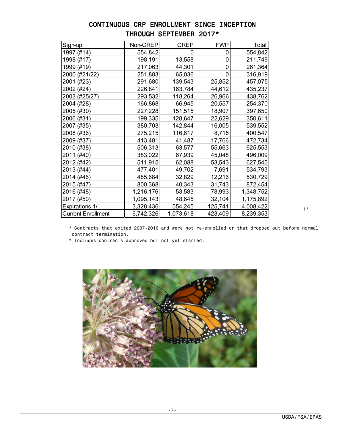## CONTINUOUS CRP ENROLLMENT SINCE INCEPTION THROUGH SEPTEMBER 2017\*

| Sign-up                   | Non-CREP     | <b>CREP</b> | <b>FWP</b> | Total        |
|---------------------------|--------------|-------------|------------|--------------|
| 1997 (#14)                | 554,842      | 0           | 0          | 554,842      |
| 1998 (#17)                | 198,191      | 13,558      | 0          | 211,749      |
| 1999 (#19)                | 217,063      | 44,301      | 0          | 261,364      |
| 2000 (#21/22)             | 251,883      | 65,036      | 0          | 316,919      |
| 2001 (#23)                | 291,680      | 139,543     | 25,852     | 457,075      |
| 2002 (#24)                | 226,841      | 163,784     | 44,612     | 435,237      |
| 2003 (#25/27)             | 293,532      | 118,264     | 26,966     | 438,762      |
| 2004 (#28)                | 166,868      | 66,945      | 20,557     | 254,370      |
| 2005 (#30)                | 227,228      | 151,515     | 18,907     | 397,650      |
| 2006 (#31)                | 199,335      | 128,647     | 22,629     | 350,611      |
| 2007 (#35)                | 380,703      | 142,844     | 16,005     | 539,552      |
| 2008 (#36)                | 275,215      | 116,617     | 8,715      | 400,547      |
| 2009 (#37)                | 413,481      | 41,487      | 17,766     | 472,734      |
| 2010 (#38)                | 506,313      | 63,577      | 55,663     | 625,553      |
| 2011 (#40)                | 383,022      | 67,939      | 45,048     | 496,009      |
| 2012 (#42)                | 511,915      | 62,088      | 53,543     | 627,545      |
| 2013 (#44)                | 477,401      | 49,702      | 7,691      | 534,793      |
| 2014 (#46)                | 485,684      | 32,829      | 12,216     | 530,729      |
| 2015 (#47)                | 800,368      | 40,343      | 31,743     | 872,454      |
| 2016 (#48)                | 1,216,176    | 53,583      | 78,993     | 1,348,752    |
| 2017 (#50)                | 1,095,143    | 48,645      | 32,104     | 1,175,892    |
| <b>Expirations 1/</b>     | $-3,328,436$ | $-554,245$  | $-125,741$ | $-4,008,422$ |
| <b>Current Enrollment</b> | 6,742,326    | 1,073,618   | 423,409    | 8,239,353    |

1/

 \* Contracts that exited 2007-2016 and were not re-enrolled or that dropped out before normal contract termination.

\* Includes contracts approved but not yet started.

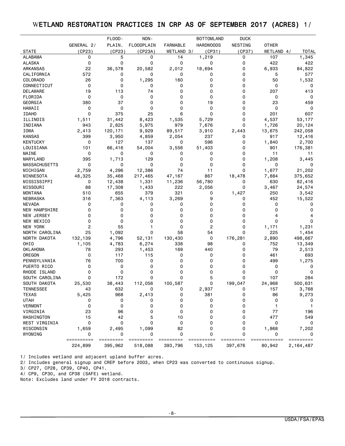## WETLAND RESTORATION PRACTICES IN CRP AS OF SEPTEMBER 2017 (ACRES) 1/

|                      |                 | FLOOD-              | NON-              |                 | <b>BOTTOMLAND</b> | <b>DUCK</b> |              |              |
|----------------------|-----------------|---------------------|-------------------|-----------------|-------------------|-------------|--------------|--------------|
|                      | GENERAL 2/      | PLAIN.              | <b>FLOODPLAIN</b> | <b>FARMABLE</b> | <b>HARDWOODS</b>  | NESTING     | <b>OTHER</b> |              |
| <b>STATE</b>         | (CP23)          | (CP23)              | (CP23A)           | WETLAND 3/      | (CP31)            | (CP37)      | WETLAND 4/   | <b>TOTAL</b> |
| <b>ALABAMA</b>       | 0               | 5                   | 0                 | 14              | 1,219             | 0           | 107          | 1,345        |
| <b>ALASKA</b>        | 0               | 0                   | 0                 | 0               | 0                 | 0           | 422          | 422          |
| ARKANSAS             | 22              | 36,578              | 20,582            | 2,012           | 18,694            | 0           | 6,933        | 84,822       |
| CALIFORNIA           | 572             | 0                   | 0                 | 0               | 0                 | 0           | 5            | 577          |
| <b>COLORADO</b>      | 26              | 0                   | 1,295             | 160             | 0                 | 0           | 50           | 1,532        |
| CONNECTICUT          | 0               | 0                   | 0                 | 0               | 0                 | 0           | 0            | 0            |
| DELAWARE             | 19              | 113                 | 74                | 0               | 0                 | 0           | 207          | 413          |
| FLORIDA              | 0               | 0                   | 0                 | $\Omega$        | $\mathbf 0$       | 0           | 0            | 0            |
| GEORGIA              | 380             | 37                  | 0                 | 0               | 19                | 0           | 23           | 459          |
| <b>HAWAII</b>        | 0               | 0                   | 0                 | $\Omega$        | $\mathbf 0$       | 0           | 0            | 0            |
| <b>IDAHO</b>         | 0               | 375                 | 25                | 6               | $\mathbf 0$       | 0           | 201          | 607          |
| ILLINOIS             | 1,511           | 31,442              | 8,423             | 1,535           | 5,729             | 0           | 4,537        | 53,177       |
| INDIANA              | 943             | 2,825               | 5,975             | 979             | 7,676             | 0           | 1,726        | 20,124       |
| IOWA                 | 2,413           | 120,171             | 9,929             | 89,517          | 3,910             | 2,443       | 13,675       | 242,058      |
| <b>KANSAS</b>        | 399             | 3,950               | 4,859             | 2,054           | 237               | 0           | 917          | 12,416       |
| <b>KENTUCKY</b>      | 0               | 127                 | 137               | 0               | 596               | 0           | 1,840        | 2,700        |
| LOUISIANA            | 101             | 66,416              | 54,004            | 3,556           | 51,403            | 0           | 901          | 176,381      |
| MAINE                | 0               | 0                   | 0                 | 0               | 0                 | 0           | 11           | 11           |
| MARYLAND             | 395             | 1,713               | 129               | 0               | 0                 | 0           | 1,208        | 3,445        |
| <b>MASSACHUSETTS</b> | 0               | 0                   | 0                 | 0               | 0                 | 0           | 0            | 0            |
| MICHIGAN             | 2,759           | 4,296               | 12,386            | 74              | 11                | $\mathbf 0$ | 1,677        | 21,202       |
| MINNESOTA            | 48,325          | 35,468              | 217,465           | 47,167          | 867               | 18,478      | 7,884        | 375,652      |
| MISSISSIPPI          | 0               | 12,438              | 1,331             | 11,236          | 56,780            | 0           | 630          | 82,416       |
| MISSOURI             | 88              | 17,308              | 1,433             | 222             | 2,056             | 0           | 3,467        | 24,574       |
| <b>MONTANA</b>       | 510             | 655                 | 379               | 321             | 0                 | 1,427       | 250          | 3,542        |
| <b>NEBRASKA</b>      | 316             | 7,363               | 4,113             | 3,269           | 9                 | 0           | 452          | 15,522       |
| <b>NEVADA</b>        | 0               | 0                   | 0                 | 0               | 0                 | 0           | 0            | 0            |
| <b>NEW HAMPSHIRE</b> | 0               | 0                   | 0                 | 0               | 0                 | 0           | 0            | 0            |
| NEW JERSEY           | 0               | 0                   | 0                 | 0               | 0                 | 0           | 4            |              |
| NEW MEXICO           | 0               | 0                   | 0                 | 0               | 0                 | 0           | 0            | 0            |
| NEW YORK             | 2               | 55                  | 1                 | 0               | 2                 | 0           | 1,171        | 1,231        |
| NORTH CAROLINA       | 25              | 1,092               | 0                 | 58              | 54                | 0           | 225          | 1,454        |
| NORTH DAKOTA         | 132,139         | 4,796               | 52,131            | 130,430         | 0                 | 176,281     | 2,890        | 498,667      |
| OHIO                 | 1,105           | 4,783               | 6,274             | 338             | 98                | 0           | 752          | 13,349       |
| <b>OKLAHOMA</b>      | 78              | 293                 | 1,453             | 169             | 440               | 0           | 79           | 2,513        |
| OREGON               | 0               | 117                 | 115               | 0               | 0                 | 0           | 461          | 693          |
| PENNSYLVANIA         | 76              | 700                 | 0                 | 0               | 0                 | 0           | 499          | 1,275        |
| PUERTO RICO          | 0               | 0                   | 0                 | 0               | 0                 | 0           | 0            | 0            |
| RHODE ISLAND         | 0               | 0                   | 0                 | 0               | 0                 | 0           | 0            | 0            |
| SOUTH CAROLINA       | 0               | 172                 | 0                 | 0               | 5                 | 0           | 107          | 284          |
| SOUTH DAKOTA         | 25,530          | 38,443              | 112,056           | 100,587         | 0                 | 199,047     | 24,968       | 500,631      |
| <b>TENNESSEE</b>     | 43              | 632                 | 0                 | 0               |                   | 0           | 157          | 3,768        |
| <b>TEXAS</b>         | 5,425           | 968                 | 2,413             | 0               | 2,937<br>381      | 0           | 86           | 9,273        |
| <b>UTAH</b>          | 0               | 0                   | 0                 | 0               | 0                 | 0           | 0            |              |
|                      |                 |                     |                   |                 |                   |             |              | 0            |
| <b>VERMONT</b>       | 0               | 0                   | 0                 | 0               | 0                 | 0           |              |              |
| VIRGINIA             | 23              | 96                  | 0<br>5            | 0               | 0<br>0            | 0<br>0      | 77           | 196          |
| WASHINGTON           | 15              | 42                  |                   | 10              |                   |             | 477          | 549          |
| WEST VIRGINIA        | 0               | 0                   | 0                 | 0               | 0                 | 0           | 0            | 0            |
| WISCONSIN            | 1,659           | 2,495               | 1,099             | 82              | 0                 | 0           | 1,868        | 7,202        |
| WYOMING              | 0<br>========== | 0<br>$=====$<br>=== | 0<br>=========    | 0               | 0                 | 0           | 0            | 0            |
|                      | 224,899         | 395,962             | 518,088           | 393,796         | 153,125           | 397,676     | 80,942       | 2, 164, 487  |

1/ Includes wetland and adjacent upland buffer acres.

2/ Includes general signup and CREP before 2003, when CP23 was converted to continuous signup.

3/ CP27, CP28, CP39, CP40, CP41.

4/ CP9, CP30, and CP38 (SAFE) wetland.

Note: Excludes land under FY 2018 contracts.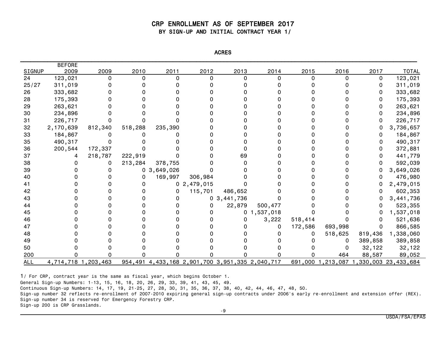#### CRP ENROLLMENT AS OF SEPTEMBER 2017 BY SIGN-UP AND INITIAL CONTRACT YEAR 1/

| <b>NCRL</b> |  |
|-------------|--|
|-------------|--|

|               | <b>BEFORE</b>       |         |         |                |                                                 |                |                |         |         |         |                                |
|---------------|---------------------|---------|---------|----------------|-------------------------------------------------|----------------|----------------|---------|---------|---------|--------------------------------|
| <b>SIGNUP</b> | 2009                | 2009    | 2010    | 2011           | 2012                                            | 2013           | 2014           | 2015    | 2016    | 2017    | <b>TOTAL</b>                   |
| 24            | 123,021             | 0       | 0       | 0              | 0                                               | $\Omega$       | n              | 0       | 0       | 0       | 123,021                        |
| 25/27         | 311,019             |         |         |                |                                                 |                |                |         |         | 0       | 311,019                        |
| 26            | 333,682             |         |         |                |                                                 |                |                |         |         | 0       | 333,682                        |
| 28            | 175,393             |         |         |                |                                                 |                |                |         |         | 0       | 175,393                        |
| 29            | 263,621             |         |         |                |                                                 |                |                |         |         | 0       | 263,621                        |
| 30            | 234,896             |         |         |                |                                                 |                |                |         |         | 0       | 234,896                        |
| 31            | 226,717             |         |         |                |                                                 |                |                |         |         | O       | 226,717                        |
| 32            | 2,170,639           | 812,340 | 518,288 | 235,390        |                                                 |                |                |         |         | 0       | 3,736,657                      |
| 33            | 184,867             |         |         |                |                                                 |                |                |         |         | 0       | 184,867                        |
| 35            | 490,317             |         |         |                |                                                 |                |                |         |         | 0       | 490,317                        |
| 36            | 200,544             | 172,337 |         |                |                                                 |                |                |         |         | 0       | 372,881                        |
| 37            |                     | 218,787 | 222,919 |                |                                                 | 69             |                |         |         | 0       | 441,779                        |
| 38            |                     | 0       | 213,284 | 378,755        |                                                 |                |                |         |         | 0       | 592,039                        |
| 39            |                     |         |         | 0, 3, 649, 026 |                                                 |                |                |         |         | 0       | 3,649,026                      |
| 40            |                     |         | 0       | 169,997        | 306,984                                         |                |                |         |         |         | 476,980                        |
| 41            |                     |         |         |                | 0, 2, 479, 015                                  |                |                |         |         | 0       | 2,479,015                      |
| 42            |                     |         |         | 0              | 115,701                                         | 486,652        |                |         |         | 0       | 602,353                        |
| 43            |                     |         |         | 0              |                                                 | 0, 3, 441, 736 |                |         |         | 0       | 3,441,736                      |
| 44            |                     |         |         |                | 0                                               | 22,879         | 500,477        |         |         | 0       | 523,355                        |
| 45            |                     |         |         |                | o                                               |                | 0, 1, 537, 018 |         |         | 0       | 1,537,018                      |
| 46            |                     |         |         |                |                                                 |                | 3,222          | 518,414 |         | 0       | 521,636                        |
| 47            |                     |         |         |                |                                                 |                | 0              | 172,586 | 693,998 | 0       | 866,585                        |
| 48            |                     |         |         |                |                                                 |                |                |         | 518,625 | 819,436 | 1,338,060                      |
| 49            |                     |         |         |                |                                                 |                |                |         | 0       | 389,858 | 389,858                        |
| 50            |                     |         |         |                |                                                 |                |                |         | 0       | 32,122  | 32,122                         |
| 200           |                     |         |         |                |                                                 |                |                |         | 464     | 88,587  | 89,052                         |
| ALL           | 4,714,718 1,203,463 |         |         |                | 954,491 4,433,168 2,901,700 3,951,335 2,040,717 |                |                | 691,000 |         |         | 1,213,087 1,330,003 23,433,684 |

1/ For CRP, contract year is the same as fiscal year, which begins October 1.

General Sign-up Numbers: 1-13, 15, 16, 18, 20, 26, 29, 33, 39, 41, 43, 45, 49.

Continuous Sign-up Numbers: 14, 17, 19, 21-25, 27, 28, 30, 31, 35, 36, 37, 38, 40, 42, 44, 46, 47, 48, 50.

Sign-up number 32 reflects re-enrollment of 2007-2010 expiring general sign-up contracts under 2006's early re-enrollment and extension offer (REX). Sign-up number 34 is reserved for Emergency Forestry CRP.

Sign-up 200 is CRP Grasslands.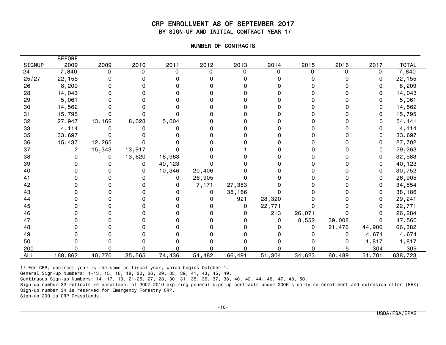#### CRP ENROLLMENT AS OF SEPTEMBER 2017 BY SIGN-UP AND INITIAL CONTRACT YEAR 1/

| NUMBER OF CONTRACTS |  |
|---------------------|--|
|                     |  |

|            | <b>BEFORE</b> |        |        |        |          |        |        |        |        |        |              |
|------------|---------------|--------|--------|--------|----------|--------|--------|--------|--------|--------|--------------|
| SIGNUP     | 2009          | 2009   | 2010   | 2011   | 2012     | 2013   | 2014   | 2015   | 2016   | 2017   | <b>TOTAL</b> |
| 24         | 7,840         | 0      | n      | O      | 0        | 0      | 0      |        |        | 0      | 7,840        |
| 25/27      | 22,155        |        |        |        |          |        |        |        |        | 0      | 22,155       |
| 26         | 8,209         |        |        |        |          |        |        |        |        |        | 8,209        |
| 28         | 14,043        |        |        |        |          |        |        |        |        |        | 14,043       |
| 29         | 5,061         |        |        |        |          |        |        |        |        |        | 5,061        |
| 30         | 14,562        |        |        |        |          |        |        |        |        | O.     | 14,562       |
| 31         | 15,795        |        |        |        |          |        |        |        |        | 0      | 15,795       |
| 32         | 27,947        | 13,162 | 8,028  | 5,004  |          |        |        |        |        |        | 54,141       |
| 33         | 4,114         |        |        |        |          |        |        |        |        |        | 4,114        |
| 35         | 33,697        |        |        |        |          |        |        |        |        | 0      | 33,697       |
| 36         | 15,437        | 12,265 |        |        |          |        |        |        |        | 0      | 27,702       |
| 37         | 2             | 15,343 | 13,917 |        |          |        |        |        |        | 0      | 29,263       |
| 38         |               | 0      | 13,620 | 18,963 |          |        |        |        |        | 0      | 32,583       |
| 39         |               |        | 0      | 40,123 |          |        |        |        |        | 0      | 40,123       |
| 40         |               |        |        | 10,346 | 20,406   |        |        |        |        | 0      | 30,752       |
| 41         |               |        |        | 0      | 26,905   |        |        |        |        | 0      | 26,905       |
| 42         |               |        |        | 0      | 7,171    | 27,383 |        |        |        | 0      | 34,554       |
| 43         |               |        |        |        | 0        | 38,186 |        |        |        | 0      | 38,186       |
| 44         |               |        |        |        | $\Omega$ | 921    | 28,320 |        |        | 0      | 29,241       |
| 45         |               |        |        |        | O        | 0      | 22,771 |        |        | 0      | 22,771       |
| 46         |               |        |        |        |          | 0      | 213    | 26,071 |        | 0      | 26,284       |
| 47         |               |        |        |        |          |        | 0      | 8,552  | 39,008 | 0      | 47,560       |
| 48         |               |        |        |        |          |        |        | o      | 21,476 | 44,906 | 66,382       |
| 49         |               |        |        |        |          |        |        |        | 0      | 4,674  | 4,674        |
| 50         |               |        |        |        |          |        |        |        | O.     | 1,817  | 1,817        |
| 200        |               |        |        |        |          |        |        |        |        | 304    | 309          |
| <b>ALL</b> | 168,862       | 40,770 | 35,565 | 74,436 | 54,482   | 66,491 | 51,304 | 34,623 | 60,489 | 51,701 | 638,723      |

1/ For CRP, contract year is the same as fiscal year, which begins October 1.

General Sign-up Numbers: 1-13, 15, 16, 18, 20, 26, 29, 33, 39, 41, 43, 45, 49.

Continuous Sign-up Numbers: 14, 17, 19, 21-25, 27, 28, 30, 31, 35, 36, 37, 38, 40, 42, 44, 46, 47, 48, 50.

Sign-up number 32 reflects re-enrollment of 2007-2010 expiring general sign-up contracts under 2006's early re-enrollment and extension offer (REX). Sign-up number 34 is reserved for Emergency Forestry CRP.

Sign-up 200 is CRP Grasslands.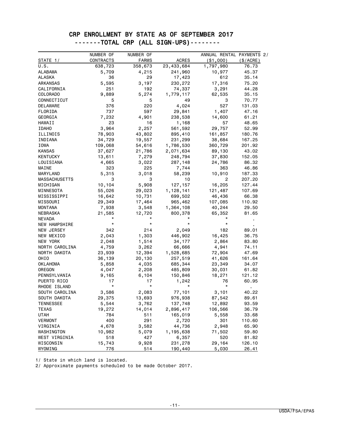## CRP ENROLLMENT BY STATE AS OF SEPTEMBER 2017 -------TOTAL CRP (ALL SIGN-UPS)--------

|                      | NUMBER OF | NUMBER OF    |              | ANNUAL RENTAL PAYMENTS 2/ |                |
|----------------------|-----------|--------------|--------------|---------------------------|----------------|
| STATE 1/             | CONTRACTS | <b>FARMS</b> | <b>ACRES</b> | ( \$1,000)                | (S/ACRE)       |
| U.S.                 | 638,723   | 358,673      | 23,433,684   | 1,797,980                 | 76.73          |
| <b>ALABAMA</b>       | 5,709     | 4,215        | 241,960      | 10,977                    | 45.37          |
| ALASKA               | 36        | 29           | 17,423       | 612                       | 35.14          |
| ARKANSAS             | 5,595     | 3,197        | 230,272      | 17,316                    | 75.20          |
| CALIFORNIA           | 251       | 192          | 74,337       | 3,291                     | 44.28          |
| <b>COLORADO</b>      | 9,889     | 5,274        | 1,779,117    | 62,535                    | 35.15          |
| CONNECTICUT          | 5         | 5            | 49           | 3                         | 70.77          |
| DELAWARE             | 376       | 220          | 4,024        | 527                       | 131.03         |
| FLORIDA              | 737       | 597          | 29,841       | 1,407                     | 47.16          |
| GEORGIA              | 7,232     | 4,901        | 238,538      | 14,600                    | 61.21          |
| HAWAII               | 23        | 16           | 1,168        | 57                        | 48.65          |
| <b>IDAHO</b>         | 3,964     | 2,257        | 561,592      | 29,757                    | 52.99          |
| ILLINOIS             | 78,903    | 43,802       | 895,410      | 161,857                   | 180.76         |
| INDIANA              | 34,729    | 19,557       | 231,299      | 38,684                    | 167.25         |
| IOWA                 | 109,068   | 54,616       | 1,786,530    | 360,729                   | 201.92         |
| <b>KANSAS</b>        | 37,627    | 21,786       | 2,071,634    | 89,130                    | 43.02          |
| KENTUCKY             | 13,611    | 7,279        | 248,794      | 37,830                    | 152.05         |
| LOUISIANA            | 4,665     | 3,022        | 287,148      | 24,786                    | 86.32          |
| MAINE                | 323       | 225          | 7,744        | 363                       | 46.86          |
| MARYLAND             | 5,315     | 3,018        | 58,239       | 10,910                    | 187.33         |
| <b>MASSACHUSETTS</b> | 3         | 3            | 10           | 2                         | 207.20         |
| MICHIGAN             | 10,104    | 5,908        | 127, 157     | 16,205                    | 127.44         |
| MINNESOTA            | 55,026    | 29,023       | 1,128,141    | 121,487                   | 107.69         |
| MISSISSIPPI          | 16,642    | 10,731       | 699,502      | 46,436                    | 66.38          |
| MISSOURI             | 29,349    | 17,464       | 965,462      | 107,085                   | 110.92         |
| MONTANA              | 7,938     | 3,548        | 1,364,108    | 40,244                    | 29.50          |
| NEBRASKA             | 21,585    | 12,720       | 800,378      | 65,352                    | 81.65          |
| <b>NEVADA</b>        |           |              |              | $^\star$                  |                |
| NEW HAMPSHIRE        | $\star$   | $\star$      | $\star$      | $\star$                   |                |
| NEW JERSEY           | 342       | 214          | 2,049        | 182                       | 89.01          |
| NEW MEXICO           | 2,043     | 1,303        | 446,902      | 16,425                    | 36.75          |
| NEW YORK             | 2,048     | 1,514        | 34,177       | 2,864                     | 83.80          |
| NORTH CAROLINA       | 4,759     | 3,262        | 66,666       | 4,941                     | 74.11          |
| NORTH DAKOTA         | 23,939    | 12,394       | 1,528,685    | 72,904                    | 47.69          |
| OHIO                 | 36,139    | 20,130       | 257,519      | 41,626                    | 161.64         |
| OKLAHOMA             | 5,858     | 4,035        | 685,344      | 23,349                    | 34.07          |
| OREGON               | 4,047     | 2,208        | 485,809      | 30,031                    | 61.82          |
| PENNSYLVANIA         | 9,165     | 6,104        | 150,846      | 18,271                    | 121.12         |
| PUERTO RICO          | 17        | 17           | 1,242        | 76                        | 60.95          |
| RHODE ISLAND         | $\star$   | $^\star$     | *            | $\star$                   | $\blacksquare$ |
| SOUTH CAROLINA       | 3,586     | 2,083        | 77,101       | 3,101                     | 40.22          |
| SOUTH DAKOTA         | 29,375    | 13,693       | 976,938      | 87,542                    | 89.61          |
| <b>TENNESSEE</b>     | 5,544     | 3,762        | 137,748      | 12,892                    | 93.59          |
| TEXAS                | 19,272    | 14,014       | 2,896,417    | 106,566                   | 36.79          |
| UTAH                 | 784       | 511          | 165,019      | 5,558                     | 33.68          |
| <b>VERMONT</b>       | 400       | 291          | 2,720        | 301                       | 110.60         |
| VIRGINIA             | 4,678     | 3,582        | 44,736       | 2,948                     | 65.90          |
| WASHINGTON           | 10,982    | 5,079        | 1,195,638    | 71,502                    | 59.80          |
| WEST VIRGINIA        | 518       | 427          | 6,357        | 520                       | 81.82          |
| WISCONSIN            | 15,743    | 9,928        | 231,278      | 29,164                    | 126.10         |
| WYOMING              | 776       | 514          | 190,440      | 5,030                     | 26.41          |

1/ State in which land is located.

2/ Approximate payments scheduled to be made October 2017.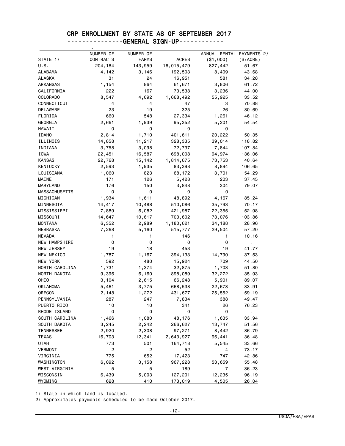#### CRP ENROLLMENT BY STATE AS OF SEPTEMBER 2017 ---------------GENERAL SIGN-UP------------

| STATE 1/             | NUMBER OF<br>CONTRACTS | NUMBER OF<br><b>FARMS</b> | <b>ACRES</b> | ANNUAL RENTAL PAYMENTS 2/<br>( \$1,000) | $(\$/ACRE)$             |
|----------------------|------------------------|---------------------------|--------------|-----------------------------------------|-------------------------|
| U.S.                 | 204,184                | 143,959                   | 16,015,479   | 827,442                                 | 51.67                   |
| ALABAMA              | 4,142                  | 3,146                     | 192,503      | 8,409                                   | 43.68                   |
| ALASKA               | 31                     | 24                        | 16,951       | 581                                     | 34.28                   |
| <b>ARKANSAS</b>      | 1,154                  | 864                       | 61,671       | 3,806                                   | 61.72                   |
| CALIFORNIA           | 222                    | 167                       | 73,538       | 3,236                                   | 44.00                   |
| COLORADO             | 8,547                  | 4,692                     | 1,668,492    | 55,925                                  | 33.52                   |
| CONNECTICUT          | 4                      | 4                         | 47           | 3                                       | 70.88                   |
| DELAWARE             | 23                     | 19                        | 325          | 26                                      | 80.69                   |
| FLORIDA              | 660                    | 548                       | 27,334       | 1,261                                   | 46.12                   |
| GEORGIA              | 2,661                  | 1,939                     | 95,352       | 5,201                                   | 54.54                   |
| HAWAII               | 0                      | 0                         | 0            | 0                                       | $\mathbf{r}$            |
| <b>IDAHO</b>         | 2,814                  | 1,710                     | 401,611      | 20,222                                  | 50.35                   |
| ILLINOIS             | 14,858                 | 11,217                    | 328,335      | 39,014                                  | 118.82                  |
| INDIANA              | 3,758                  | 3,098                     | 72,737       | 7,844                                   | 107.84                  |
| IOWA                 | 22,451                 | 16,587                    | 698,008      | 94,974                                  | 136.06                  |
| <b>KANSAS</b>        | 22,768                 | 15,142                    | 1,814,675    | 73,753                                  | 40.64                   |
| <b>KENTUCKY</b>      | 2,593                  | 1,935                     | 83,398       | 8,894                                   | 106.65                  |
| LOUISIANA            | 1,060                  | 823                       | 68,172       | 3,701                                   | 54.29                   |
| MAINE                | 171                    | 126                       | 5,428        | 203                                     | 37.45                   |
| MARYLAND             | 176                    | 150                       | 3,848        | 304                                     | 79.07                   |
| <b>MASSACHUSETTS</b> | 0                      | 0                         | 0            | 0                                       |                         |
| MICHIGAN             | 1,934                  | 1,611                     | 48,892       | 4,167                                   | $\blacksquare$<br>85.24 |
| MINNESOTA            | 14,417                 | 10,488                    | 510,086      | 35,793                                  | 70.17                   |
| MISSISSIPPI          | 7,889                  | 6,082                     | 421,987      | 22,355                                  | 52.98                   |
| MISSOURI             | 14,647                 | 10,617                    | 703,602      | 73,076                                  | 103.86                  |
| <b>MONTANA</b>       | 6,352                  | 2,989                     | 1,180,621    | 34,188                                  | 28.96                   |
| <b>NEBRASKA</b>      | 7,268                  | 5,160                     | 515,777      | 29,504                                  | 57.20                   |
| <b>NEVADA</b>        | 1                      | 1                         | 146          | 1                                       | 10.16                   |
| <b>NEW HAMPSHIRE</b> | 0                      | 0                         | 0            | 0                                       |                         |
| NEW JERSEY           | 19                     | 18                        | 453          | 19                                      | 41.77                   |
| NEW MEXICO           | 1,787                  | 1,167                     | 394,133      | 14,790                                  | 37.53                   |
| NEW YORK             | 592                    | 480                       | 15,924       | 709                                     | 44.50                   |
| NORTH CAROLINA       | 1,731                  | 1,374                     | 32,875       | 1,703                                   | 51.80                   |
| NORTH DAKOTA         | 9,396                  | 6,160                     | 898,089      | 32,272                                  | 35.93                   |
| OHIO                 | 3,104                  | 2,615                     | 66,248       | 5,901                                   | 89.07                   |
| OKLAHOMA             | 5,461                  | 3,775                     | 668,538      | 22,673                                  | 33.91                   |
| OREGON               | 2,148                  | 1,272                     | 431,677      | 25,552                                  | 59.19                   |
| PENNSYLVANIA         | 287                    | 247                       | 7,834        | 388                                     | 49.47                   |
| PUERTO RICO          | 10                     | 10                        | 341          | 26                                      | 76.23                   |
| RHODE ISLAND         | 0                      | 0                         | 0            | 0                                       |                         |
| SOUTH CAROLINA       | 1,466                  | 1,080                     | 48,176       | 1,635                                   | 33.94                   |
| SOUTH DAKOTA         | 3,245                  | 2,242                     | 266,627      | 13,747                                  | 51.56                   |
| <b>TENNESSEE</b>     | 2,920                  | 2,308                     | 97,271       | 8,442                                   | 86.79                   |
| TEXAS                | 16,703                 | 12,341                    | 2,643,927    | 96,441                                  | 36.48                   |
| <b>UTAH</b>          | 773                    | 501                       | 164,718      | 5,545                                   | 33.66                   |
| <b>VERMONT</b>       | 2                      | $\overline{c}$            | 52           | 4                                       | 73.17                   |
| VIRGINIA             | 775                    | 652                       | 17,423       | 747                                     | 42.86                   |
| WASHINGTON           | 6,092                  | 3,158                     | 967,228      | 53,659                                  | 55.48                   |
| WEST VIRGINIA        | 5                      | 5                         | 189          | $\overline{7}$                          | 36.23                   |
| WISCONSIN            | 6,439                  | 5,003                     | 127,201      | 12,235                                  | 96.19                   |
| WYOMING              | 628                    | 410                       | 173,019      | 4,505                                   | 26.04                   |

1/ State in which land is located.

2/ Approximates payments scheduled to be made October 2017.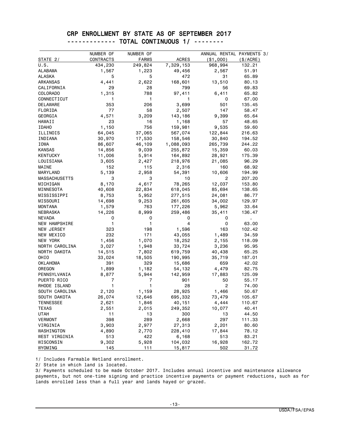#### CRP ENROLLMENT BY STATE AS OF SEPTEMBER 2017 ------------- TOTAL CONTINUOUS 1/ --------

|                      | NUMBER OF    | NUMBER OF      |                   | ANNUAL RENTAL PAYMENTS 3/ |                 |
|----------------------|--------------|----------------|-------------------|---------------------------|-----------------|
| STATE 2/             | CONTRACTS    | <b>FARMS</b>   | <b>ACRES</b>      | $($ \$1,000 $)$           | (\$/ACRE)       |
| U.S.                 | 434,230      | 249,824        | 7,329,153         | 968,994                   | 132.21          |
| ALABAMA              | 1,567        | 1,223          | 49,456            | 2,567                     | 51.91           |
| <b>ALASKA</b>        | 5            | 5              | 472               | 31                        | 65.89           |
| <b>ARKANSAS</b>      | 4,441        | 2,622          | 168,601           | 13,510                    | 80.13           |
| CALIFORNIA           | 29           | 28             | 799               | 56                        | 69.83           |
| <b>COLORADO</b>      | 1,315        | 788            | 97,411            | 6,411                     | 65.82           |
| CONNECTICUT          | 1            | 1              | 1                 | 0                         | 67.00           |
| DELAWARE             | 353          | 206            | 3,699             | 501                       | 135.45          |
| FLORIDA              | 77           | 58             | 2,507             | 147                       | 58.47           |
| GEORGIA              | 4,571        | 3,209          | 143,186           | 9,399                     | 65.64           |
| <b>HAWAII</b>        | 23           | 16             | 1,168             | 57                        | 48.65           |
| <b>IDAHO</b>         | 1,150        | 756            | 159,981           | 9,535                     | 59.60           |
| ILLINOIS             | 64,045       | 37,065         | 567,074           | 122,844                   | 216.63          |
| INDIANA              | 30,970       | 17,530         | 158,546           | 30,840                    | 194.52          |
| IOWA                 | 86,607       | 46,109         | 1,088,093         | 265,739                   | 244.22          |
| <b>KANSAS</b>        | 14,856       | 9,039          | 255,872           | 15,359                    | 60.03           |
| KENTUCKY             | 11,006       | 5,914          | 164,892           | 28,921                    | 175.39          |
| LOUISIANA            | 3,605        | 2,427          | 218,976           | 21,085                    | 96.29           |
| MAINE                | 152          | 115            | 2,316             | 160                       | 68.92           |
| MARYLAND             | 5,139        | 2,958          | 54,391            | 10,606                    | 194.99          |
| <b>MASSACHUSETTS</b> | 3            | 3              | 10                | 2                         | 207.20          |
| MICHIGAN             | 8,170        | 4,617          | 78,265            | 12,037                    | 153.80          |
| MINNESOTA            | 40,608       | 22,834         | 618,045           | 85,694                    | 138.65          |
| MISSISSIPPI          | 8,753        | 5,952          | 277,515           | 24,081                    | 86.77           |
| MISSOURI             | 14,698       | 9,253          | 261,605           | 34,002                    | 129.97          |
| <b>MONTANA</b>       | 1,579        | 763            | 177,226           | 5,962                     | 33.64           |
| NEBRASKA             | 14,226       | 8,999          | 259,486           | 35,411                    | 136.47          |
| <b>NEVADA</b>        | 0            | 0              | 0                 | 0                         | $\blacksquare$  |
| NEW HAMPSHIRE        | 1            | 1              | 4                 | 0                         | 63.00           |
| NEW JERSEY           | 323          | 198            | 1,596             | 163                       | 102.42          |
| NEW MEXICO           | 232          | 171            | 43,055            | 1,489                     | 34.59           |
| NEW YORK             | 1,456        | 1,070          | 18,252            | 2,155                     | 118.09          |
| NORTH CAROLINA       | 3,027        | 1,948          | 33,724            | 3,236                     | 95.95           |
| NORTH DAKOTA         | 14,515       | 7,802          | 619,759           | 40,438                    | 65.25           |
| OHIO                 | 33,024       | 18,505         | 190,995           | 35,719                    | 187.01          |
| OKLAHOMA             | 391          | 329            | 15,686            | 659                       | 42.02           |
| OREGON               | 1,899        | 1,182          | 54,132            | 4,479                     | 82.75           |
| PENNSYLVANIA         | 8,877        | 5,944          | 142,959           | 17,883                    | 125.09          |
| PUERTO RICO          | 7            | 7              | 901               | 50                        | 55.17           |
| RHODE ISLAND         | 1            | 1              | 28                | 2                         | 74.00           |
| SOUTH CAROLINA       | 2,120        | 1,159          | 28,925            | 1,466                     | 50.67           |
| SOUTH DAKOTA         | 26,074       | 12,646         | 695,332           | 73,479                    | 105.67          |
| <b>TENNESSEE</b>     | 2,621        |                |                   |                           | 110.67          |
| TEXAS                | 2,551        | 1,846<br>2,015 | 40,151<br>249,352 | 4,444<br>10,077           | 40.41           |
| UTAH                 | 11           | 13             | 300               | 13                        | 44.50           |
| <b>VERMONT</b>       | 398          | 289            | 2,668             | 297                       |                 |
| VIRGINIA             | 3,903        |                | 27,313            | 2,201                     | 111.33<br>80.60 |
| WASHINGTON           |              | 2,977          |                   |                           | 78.12           |
|                      | 4,890        | 2,770          | 228,410           | 17,844                    |                 |
| WEST VIRGINIA        | 513<br>9,302 | 422            | 6,168             | 513<br>16,928             | 83.21           |
| WISCONSIN<br>WYOMING | 145          | 5,928<br>111   | 104,032<br>15,817 | 502                       | 162.72<br>31.72 |

1/ Includes Farmable Wetland enrollment.

2/ State in which land is located.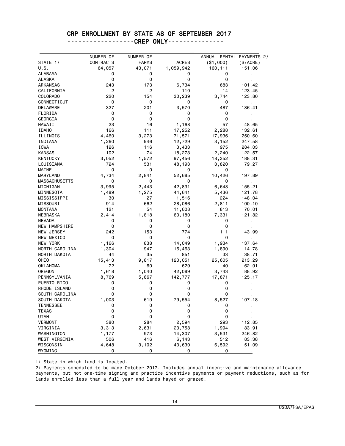#### CRP ENROLLMENT BY STATE AS OF SEPTEMBER 2017

------------------CREP ONLY---------------

|                  | NUMBER OF | NUMBER OF    |              | ANNUAL RENTAL PAYMENTS 2/ |                |
|------------------|-----------|--------------|--------------|---------------------------|----------------|
| STATE 1/         | CONTRACTS | <b>FARMS</b> | <b>ACRES</b> | ( \$1,000)                | (\$/ACRE)      |
| U.S.             | 64,057    | 43,071       | 1,059,942    | 160,111                   | 151.06         |
| <b>ALABAMA</b>   | 0         | 0            | 0            | 0                         |                |
| ALASKA           | 0         | 0            | 0            | 0                         |                |
| ARKANSAS         | 243       | 173          | 6,734        | 683                       | 101.42         |
| CALIFORNIA       | 2         | 2            | 110          | 14                        | 123.45         |
| COLORADO         | 220       | 154          | 30,239       | 3,744                     | 123.80         |
| CONNECTICUT      | 0         | 0            | 0            | 0                         | $\blacksquare$ |
| DELAWARE         | 327       | 201          | 3,570        | 487                       | 136.41         |
| FLORIDA          | 0         | 0            | 0            | 0                         |                |
| GEORGIA          | 0         | 0            | 0            | 0                         |                |
| HAWAII           | 23        | 16           | 1,168        | 57                        | 48.65          |
| <b>IDAHO</b>     | 166       | 111          | 17,252       | 2,288                     | 132.61         |
| ILLINOIS         | 4,460     | 3,273        | 71,571       | 17,936                    | 250.60         |
| INDIANA          | 1,260     | 946          | 12,729       | 3,152                     | 247.58         |
| IOWA             | 126       | 116          | 3,433        | 975                       | 284.03         |
| <b>KANSAS</b>    | 102       | 74           | 18,273       | 2,240                     | 122.57         |
| <b>KENTUCKY</b>  | 3,052     | 1,572        | 97,456       | 18,352                    | 188.31         |
| LOUISIANA        | 724       | 531          | 48,193       | 3,820                     | 79.27          |
| MAINE            | 0         | 0            | 0            | 0                         | ٠              |
| MARYLAND         | 4,734     | 2,841        | 52,685       | 10,426                    | 197.89         |
| MASSACHUSETTS    | 0         | 0            | 0            | 0                         | $\blacksquare$ |
| MICHIGAN         | 3,995     | 2,443        | 42,831       | 6,648                     | 155.21         |
| MINNESOTA        | 1,489     | 1,275        | 44,641       | 5,436                     | 121.78         |
| MISSISSIPPI      | 30        | 27           | 1,516        | 224                       | 148.04         |
| MISSOURI         | 914       | 662          | 28,086       | 2,811                     | 100.10         |
| MONTANA          | 121       | 54           | 11,608       | 813                       | 70.01          |
| NEBRASKA         | 2,414     | 1,818        | 60,180       | 7,331                     | 121.82         |
| <b>NEVADA</b>    | 0         | 0            | 0            | 0                         |                |
| NEW HAMPSHIRE    | 0         | 0            | 0            | 0                         |                |
| NEW JERSEY       | 242       | 153          | 774          | 111                       | 143.99         |
| NEW MEXICO       | 0         | 0            | 0            | 0                         |                |
| NEW YORK         | 1,166     | 838          | 14,049       | 1,934                     | 137.64         |
| NORTH CAROLINA   | 1,304     | 947          | 16,463       | 1,890                     | 114.78         |
| NORTH DAKOTA     | 44        | 35           | 851          | 33                        | 38.71          |
| OHIO             | 15,413    | 9,817        | 120,051      | 25,605                    | 213.29         |
| <b>OKLAHOMA</b>  | 72        | 60           | 629          | 40                        | 62.91          |
| OREGON           | 1,618     | 1,040        | 42,089       | 3,743                     | 88.92          |
| PENNSYLVANIA     | 8,769     | 5,867        | 142,777      | 17,871                    | 125.17         |
| PUERTO RICO      | 0         | 0            | 0            | 0                         |                |
| RHODE ISLAND     | 0         | 0            | 0            | 0                         |                |
| SOUTH CAROLINA   | 0         | 0            | 0            | 0                         |                |
| SOUTH DAKOTA     | 1,003     | 619          | 79,554       | 8,527                     | 107.18         |
| <b>TENNESSEE</b> | 0         | 0            | 0            | 0                         |                |
| <b>TEXAS</b>     | 0         | 0            | 0            | 0                         |                |
| <b>UTAH</b>      | 0         | 0            | 0            | 0                         |                |
| <b>VERMONT</b>   | 380       | 284          | 2,594        | 293                       | 112.85         |
| VIRGINIA         | 3,313     | 2,631        | 23,758       | 1,994                     | 83.91          |
| WASHINGTON       | 1,177     | 973          | 14,307       | 3,531                     | 246.82         |
| WEST VIRGINIA    | 506       | 416          | 6,143        | 512                       | 83.38          |
| WISCONSIN        | 4,648     | 3,102        | 43,630       | 6,592                     | 151.09         |
|                  |           |              |              |                           |                |

1/ State in which land is located.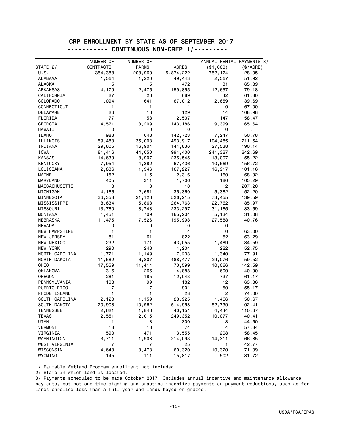#### CRP ENROLLMENT BY STATE AS OF SEPTEMBER 2017 ----------- CONTINUOUS NON-CREP 1/---------

|                      | NUMBER OF | NUMBER OF    |              | ANNUAL RENTAL PAYMENTS 3/ |           |
|----------------------|-----------|--------------|--------------|---------------------------|-----------|
| STATE 2/             | CONTRACTS | <b>FARMS</b> | <b>ACRES</b> | $($ \$1,000 $)$           | (\$/ACRE) |
| U.S.                 | 354,388   | 208,960      | 5,874,222    | 752,174                   | 128.05    |
| ALABAMA              | 1,564     | 1,220        | 49,443       | 2,567                     | 51.92     |
| ALASKA               | 5         | 5            | 472          | 31                        | 65.89     |
| ARKANSAS             | 4,179     | 2,475        | 159,855      | 12,657                    | 79.18     |
| CALIFORNIA           | 27        | 26           | 689          | 42                        | 61.30     |
| COLORADO             | 1,094     | 641          | 67,012       | 2,659                     | 39.69     |
| CONNECTICUT          | 1         | 1            | 1            | 0                         | 67.00     |
| DELAWARE             | 26        | 16           | 129          | 14                        | 108.98    |
| FLORIDA              | 77        | 58           | 2,507        | 147                       | 58.47     |
| GEORGIA              | 4,571     | 3,209        | 143,186      | 9,399                     | 65.64     |
| HAWAII               | 0         | 0            | 0            | 0                         |           |
| <b>IDAHO</b>         | 983       | 648          | 142,723      | 7,247                     | 50.78     |
| ILLINOIS             | 59,483    | 35,003       | 493,917      | 104,485                   | 211.54    |
| INDIANA              | 29,605    | 16,904       | 144,836      | 27,538                    | 190.14    |
| IOWA                 | 81,416    | 44,050       | 994,400      | 241,327                   | 242.69    |
| <b>KANSAS</b>        |           |              |              |                           |           |
|                      | 14,639    | 8,907        | 235,545      | 13,007                    | 55.22     |
| <b>KENTUCKY</b>      | 7,954     | 4,382        | 67,436       | 10,569                    | 156.72    |
| LOUISIANA            | 2,836     | 1,946        | 167,227      | 16,917                    | 101.16    |
| MAINE                | 152       | 115          | 2,316        | 160                       | 68.92     |
| MARYLAND             | 405       | 311          | 1,706        | 180                       | 105.29    |
| <b>MASSACHUSETTS</b> | 3         | 3            | 10           | $\mathbf{2}$              | 207.20    |
| MICHIGAN             | 4,166     | 2,681        | 35,360       | 5,382                     | 152.20    |
| MINNESOTA            | 36,358    | 21,126       | 526,215      | 73,455                    | 139.59    |
| MISSISSIPPI          | 8,634     | 5,868        | 264,763      | 22,762                    | 85.97     |
| MISSOURI             | 13,780    | 8,743        | 233,297      | 31,165                    | 133.59    |
| MONTANA              | 1,451     | 709          | 165,204      | 5,134                     | 31.08     |
| NEBRASKA             | 11,475    | 7,526        | 195,998      | 27,588                    | 140.76    |
| <b>NEVADA</b>        | 0         | 0            | 0            | 0                         | ٠         |
| <b>NEW HAMPSHIRE</b> | 1         | 1            | 4            | 0                         | 63.00     |
| NEW JERSEY           | 81        | 61           | 822          | 52                        | 63.29     |
| NEW MEXICO           | 232       | 171          | 43,055       | 1,489                     | 34.59     |
| NEW YORK             | 290       | 248          | 4,204        | 222                       | 52.75     |
| NORTH CAROLINA       | 1,721     | 1,149        | 17,203       | 1,340                     | 77.91     |
| NORTH DAKOTA         | 11,582    | 6,807        | 488,477      | 29,076                    | 59.52     |
| OHIO                 | 17,559    | 11,414       | 70,599       | 10,066                    | 142.59    |
| OKLAHOMA             | 316       | 266          | 14,888       | 609                       | 40.90     |
| OREGON               | 281       | 185          | 12,043       | 737                       | 61.17     |
| PENNSYLVANIA         | 108       | 99           | 182          | 12                        | 63.86     |
| PUERTO RICO          | 7         | 7            | 901          | 50                        | 55.17     |
| RHODE ISLAND         | 1         | 1            | 28           | 2                         | 74.00     |
| SOUTH CAROLINA       | 2,120     | 1,159        | 28,925       | 1,466                     | 50.67     |
| SOUTH DAKOTA         | 20,908    | 10,962       | 514,958      | 52,739                    | 102.41    |
| <b>TENNESSEE</b>     | 2,621     | 1,846        | 40,151       | 4,444                     | 110.67    |
| <b>TEXAS</b>         | 2,551     | 2,015        | 249,352      | 10,077                    | 40.41     |
| UTAH                 | 11        | 13           | 300          | 13                        | 44.50     |
|                      | 18        |              | 74           | 4                         |           |
| <b>VERMONT</b>       |           | 18           |              |                           | 57.84     |
| VIRGINIA             | 590       | 471          | 3,555        | 208                       | 58.45     |
| WASHINGTON           | 3,711     | 1,903        | 214,093      | 14,311                    | 66.85     |
| WEST VIRGINIA        | 7         | 7            | 25           | 1                         | 42.77     |
| WISCONSIN            | 4,643     | 3,473        | 60,320       | 10,320                    | 171.09    |
| WYOMING              | 145       | 111          | 15,817       | 502                       | 31.72     |

1/ Farmable Wetland Program enrollment not included.

2/ State in which land is located.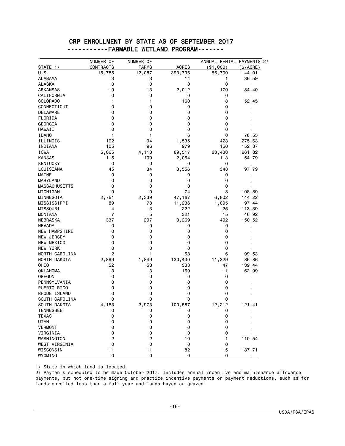#### CRP ENROLLMENT BY STATE AS OF SEPTEMBER 2017 -----------FARMABLE WETLAND PROGRAM-------

|                      | NUMBER OF      | NUMBER OF      |              | ANNUAL RENTAL PAYMENTS 2/ |                |
|----------------------|----------------|----------------|--------------|---------------------------|----------------|
| STATE 1/             | CONTRACTS      | <b>FARMS</b>   | <b>ACRES</b> | ( \$1,000)                | (\$/ACRE)      |
| U.S.                 | 15,785         | 12,087         | 393,796      | 56,709                    | 144.01         |
| ALABAMA              | 3              | 3              | 14           | 1                         | 36.59          |
| <b>ALASKA</b>        | 0              | 0              | 0            | 0                         | $\blacksquare$ |
| <b>ARKANSAS</b>      | 19             | 13             | 2,012        | 170                       | 84.40          |
| CALIFORNIA           | 0              | 0              | 0            | 0                         |                |
| COLORADO             | 1              | 1              | 160          | 8                         | 52.45          |
| CONNECTICUT          | 0              | 0              | 0            | 0                         |                |
| DELAWARE             | 0              | 0              | 0            | 0                         |                |
| FLORIDA              | 0              | 0              | 0            | 0                         |                |
| GEORGIA              | 0              | 0              | 0            | 0                         |                |
| HAWAII               | 0              | 0              | 0            | 0                         |                |
| <b>IDAHO</b>         | 1              | 1              | 6            | 0                         | 78.55          |
| ILLINOIS             | 102            | 94             | 1,535        | 423                       | 275.63         |
| INDIANA              | 105            | 96             | 979          | 150                       | 152.87         |
| IOWA                 | 5,065          | 4,113          | 89,517       | 23,438                    | 261.82         |
| <b>KANSAS</b>        | 115            | 109            | 2,054        | 113                       | 54.79          |
| <b>KENTUCKY</b>      | 0              | 0              | 0            | 0                         | ł,             |
| LOUISIANA            | 45             | 34             | 3,556        | 348                       | 97.79          |
| MAINE                | 0              | 0              | 0            | 0                         |                |
| MARYLAND             | 0              | 0              | 0            | 0                         |                |
| <b>MASSACHUSETTS</b> | 0              | 0              | 0            | 0                         |                |
|                      | 9              |                |              |                           |                |
| MICHIGAN             |                | 9              | 74           | 8                         | 108.89         |
| MINNESOTA            | 2,761          | 2,339          | 47,167       | 6,802                     | 144.22         |
| MISSISSIPPI          | 89             | 78             | 11,236       | 1,095                     | 97.44          |
| MISSOURI             | 4              | 3              | 222          | 25                        | 113.39         |
| <b>MONTANA</b>       | 7              | 5              | 321          | 15                        | 46.92          |
| NEBRASKA             | 337            | 297            | 3,269        | 492                       | 150.52         |
| <b>NEVADA</b>        | 0              | 0              | 0            | 0                         |                |
| <b>NEW HAMPSHIRE</b> | 0              | 0              | 0            | 0                         |                |
| NEW JERSEY           | 0              | 0              | 0            | 0                         |                |
| NEW MEXICO           | 0              | 0              | 0            | 0                         |                |
| NEW YORK             | 0              | 0              | 0            | 0                         |                |
| NORTH CAROLINA       | $\overline{c}$ | 1              | 58           | 6                         | 99.53          |
| NORTH DAKOTA         | 2,889          | 1,849          | 130,430      | 11,329                    | 86.86          |
| OHIO                 | 52             | 53             | 338          | 47                        | 139.44         |
| <b>OKLAHOMA</b>      | 3              | 3              | 169          | 11                        | 62.99          |
| OREGON               | 0              | 0              | 0            | 0                         |                |
| PENNSYLVANIA         | 0              | 0              | 0            | 0                         |                |
| PUERTO RICO          | 0              | 0              | 0            | 0                         |                |
| RHODE ISLAND         | 0              | 0              | 0            | 0                         |                |
| SOUTH CAROLINA       | 0              | 0              | 0            | 0                         |                |
| SOUTH DAKOTA         | 4,163          | 2,973          | 100,587      | 12,212                    | 121.41         |
| <b>TENNESSEE</b>     | 0              | 0              | 0            | 0                         |                |
| <b>TEXAS</b>         | 0              | 0              | 0            | 0                         |                |
| <b>UTAH</b>          | 0              | 0              | 0            | 0                         |                |
| <b>VERMONT</b>       | 0              | 0              | 0            | 0                         |                |
| VIRGINIA             | 0              | 0              | 0            | 0                         |                |
| WASHINGTON           | 2              | $\overline{c}$ | 10           | 1                         | 110.54         |
| <b>WEST VIRGINIA</b> | 0              | 0              | 0            | 0                         |                |
| WISCONSIN            | 11             | 11             | 82           | 15                        | 187.71         |
| WYOMING              | 0              | 0              | 0            | 0                         |                |

1/ State in which land is located.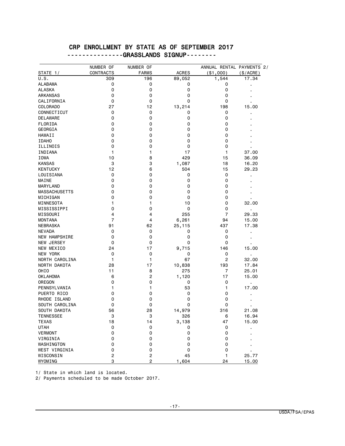#### CRP ENROLLMENT BY STATE AS OF SEPTEMBER 2017 ---------------GRASSLANDS SIGNUP--------

|                      | NUMBER OF      | NUMBER OF      |              | ANNUAL RENTAL PAYMENTS 2/ |                |
|----------------------|----------------|----------------|--------------|---------------------------|----------------|
| STATE 1/             | CONTRACTS      | <b>FARMS</b>   | <b>ACRES</b> | ( \$1,000)                | (\$/ACRE)      |
| U.S.                 | 309            | 196            | 89,052       | 1,544                     | 17.34          |
| ALABAMA              | 0              | 0              | 0            | 0                         |                |
| <b>ALASKA</b>        | 0              | 0              | 0            | 0                         |                |
| ARKANSAS             | 0              | 0              | 0            | 0                         |                |
| CALIFORNIA           | 0              | 0              | 0            | 0                         |                |
| COLORADO             | 27             | 12             | 13,214       | 198                       | 15.00          |
| CONNECTICUT          | 0              | 0              | 0            | 0                         | ٠              |
| DELAWARE             | 0              | 0              | 0            | 0                         |                |
| FLORIDA              | 0              | 0              | 0            | 0                         |                |
| GEORGIA              | 0              | 0              | 0            | 0                         |                |
| <b>HAWAII</b>        | 0              | 0              | 0            | 0                         |                |
| <b>IDAHO</b>         | 0              | 0              | 0            | 0                         |                |
| ILLINOIS             | 0              | 0              | 0            | 0                         |                |
| INDIANA              | 1              | 1              | 17           | 1                         | 37.00          |
| <b>IOWA</b>          | 10             | 8              | 429          | 15                        | 36.09          |
| <b>KANSAS</b>        | 3              | 3              | 1,087        | 18                        | 16.20          |
| <b>KENTUCKY</b>      | 12             | 6              | 504          | 15                        | 29.23          |
|                      | 0              |                |              | 0                         |                |
| LOUISIANA            |                | 0              | 0            |                           | $\blacksquare$ |
| MAINE                | 0              | 0              | 0            | 0                         |                |
| MARYLAND             | 0              | 0              | 0            | 0                         |                |
| <b>MASSACHUSETTS</b> | 0              | 0              | 0            | 0                         |                |
| MICHIGAN             | 0              | 0              | 0            | 0                         |                |
| MINNESOTA            | 1              | 1              | 10           | 0                         | 32.00          |
| MISSISSIPPI          | 0              | 0              | 0            | 0                         | ٠              |
| MISSOURI             | 4              | 4              | 255          | 7                         | 29.33          |
| <b>MONTANA</b>       | $\overline{7}$ | 4              | 6,261        | 94                        | 15.00          |
| NEBRASKA             | 91             | 62             | 25,115       | 437                       | 17.38          |
| <b>NEVADA</b>        | 0              | 0              | 0            | 0                         | ٠              |
| <b>NEW HAMPSHIRE</b> | 0              | 0              | 0            | 0                         |                |
| NEW JERSEY           | 0              | 0              | 0            | 0                         |                |
| NEW MEXICO           | 24             | 17             | 9,715        | 146                       | 15.00          |
| NEW YORK             | 0              | 0              | 0            | 0                         |                |
| NORTH CAROLINA       | 1              | 1              | 67           | $\overline{c}$            | 32.00          |
| NORTH DAKOTA         | 28             | 17             | 10,838       | 193                       | 17.84          |
| OHIO                 | 11             | 8              | 275          | 7                         | 25.01          |
| <b>OKLAHOMA</b>      | 6              | $\overline{c}$ | 1,120        | 17                        | 15.00          |
| OREGON               | 0              | 0              | 0            | 0                         | ł.             |
| PENNSYLVANIA         | 1              | 1              | 53           | 1                         | 17.00          |
| PUERTO RICO          | 0              | 0              | 0            | 0                         |                |
| RHODE ISLAND         | 0              | 0              | 0            | 0                         |                |
| SOUTH CAROLINA       | 0              | 0              | 0            | 0                         |                |
| SOUTH DAKOTA         | 56             | 28             | 14,979       | 316                       | 21.08          |
| <b>TENNESSEE</b>     | 3              | 3              | 326          | 6                         | 16.94          |
| <b>TEXAS</b>         | 18             | 14             | 3,138        | 47                        | 15.00          |
| <b>UTAH</b>          | 0              | 0              | 0            | 0                         |                |
| <b>VERMONT</b>       | $\pmb{0}$      | 0              | 0            | 0                         |                |
| VIRGINIA             | 0              | 0              | 0            | 0                         |                |
| WASHINGTON           | 0              | 0              | 0            | 0                         |                |
| WEST VIRGINIA        | 0              | 0              | 0            | 0                         |                |
| WISCONSIN            | $\overline{c}$ | 2              | 45           | 1                         | 25.77          |
| WYOMING              | 3              | 2              | 1,604        | 24                        | 15.00          |

1/ State in which land is located.

2/ Payments scheduled to be made October 2017.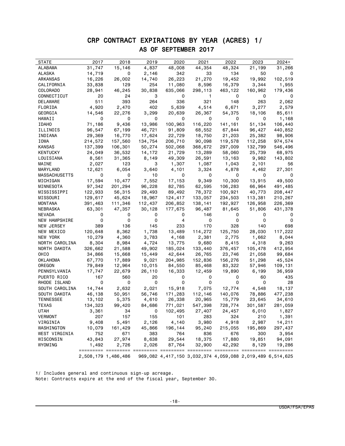## CRP CONTRACT EXPIRATIONS BY YEAR (ACRES) 1/ AS OF SEPTEMBER 2017

| <b>STATE</b>   | 2017    | 2018                | 2019    | 2020    | 2021    | 2022    | 2023                                                      | 2024+   |
|----------------|---------|---------------------|---------|---------|---------|---------|-----------------------------------------------------------|---------|
| ALABAMA        | 31,747  | 15,146              | 4,837   | 48,008  | 44,354  | 48,324  | 21,199                                                    | 31,266  |
| ALASKA         | 14,719  | 0                   | 2,146   | 342     | 33      | 134     | 50                                                        | 0       |
| ARKANSAS       | 16,226  | 26,002              | 14,740  | 26,223  | 21,270  | 19,452  | 19,992                                                    | 102,519 |
| CALIFORNIA     | 33,838  | 129                 | 254     | 11,080  | 8,596   | 16,379  | 3,344                                                     | 1,955   |
| COLORADO       | 28,941  | 46,245              | 30,838  | 635,066 | 298,113 | 463,122 | 160,962                                                   | 179,436 |
| CONNECTICUT    | 20      | 24                  | 3       | 0       | 1       | 0       | 0                                                         | 0       |
| DELAWARE       | 511     | 393                 | 264     | 336     | 321     | 148     | 263                                                       | 2,062   |
| FLORIDA        | 4,920   | 2,470               | 402     | 5,639   | 4,514   | 6,671   | 3,277                                                     | 2,579   |
| GEORGIA        | 14,546  | 22,276              | 3,299   | 20,639  | 26,367  | 54,375  | 18,106                                                    | 85,611  |
| HAWAII         | 0       | 0                   | 0       | 0       | 0       | 0       | 0                                                         | 1,168   |
| <b>IDAHO</b>   | 71,186  | 9,436               | 13,986  | 100,963 | 116,220 | 141,161 | 51,134                                                    | 106,440 |
| ILLINOIS       | 96,547  | 67,199              | 46,721  | 91,809  | 68,552  | 67,844  | 96,427                                                    | 440,852 |
| INDIANA        | 29,369  | 16,770              | 17,624  | 22,729  | 18,750  | 21,203  | 25,382                                                    | 98,906  |
| IOWA           | 214,572 | 157,560             | 134,754 | 206,710 | 90,098  | 119,578 | 112,258                                                   | 974,574 |
| KANSAS         | 137,399 | 106,301             | 50,274  | 502,068 | 368,672 | 297,009 | 132,799                                                   |         |
| KENTUCKY       |         |                     |         |         |         |         |                                                           | 546,496 |
|                | 24,049  | 36,532              | 14,172  | 21,729  | 13,289  | 58,060  | 25,739                                                    | 68,975  |
| LOUISIANA      | 8,561   | 31,365              | 8,149   | 49,309  | 26,591  | 13,163  | 9,982                                                     | 143,802 |
| MAINE          | 2,027   | 123                 | 3       | 1,307   | 1,087   | 1,043   | 2,101                                                     | 56      |
| MARYLAND       | 12,621  | 6,054               | 3,640   | 4,101   | 3,324   | 4,878   | 4,462                                                     | 27,301  |
| MASSACHUSETTS  | 0       | 0                   | 10      | 0       | 0       | 0       | 0                                                         | 0       |
| MICHIGAN       | 17,594  | 10,477              | 7,552   | 17,153  | 9,349   | 10,300  | 13,915                                                    | 49,500  |
| MINNESOTA      | 97,342  | 201,294             | 96,228  | 82,785  | 62,595  | 106,283 | 66,964                                                    | 491,485 |
| MISSISSIPPI    | 122,933 | 56,315              | 29,493  | 89,492  | 78,372  | 100,921 | 40,773                                                    | 208,447 |
| MISSOURI       | 129,617 | 45,624              | 18,967  | 124,417 | 133,057 | 234,503 | 113,381                                                   | 210,267 |
| MONTANA        | 391,463 | 111,346             | 112,437 | 206,852 | 138,141 | 192,927 | 126,958                                                   | 226,369 |
| NEBRASKA       | 63,301  | 47,357              | 30,128  | 177,675 | 96,487  | 81,645  | 51,806                                                    | 431,378 |
| NEVADA         | 0       | 0                   | 0       | 0       | 146     | 0       | 0                                                         | 0       |
| NEW HAMPSHIRE  | 0       | 0                   | 0       | 4       | 0       | 0       | 0                                                         | 0       |
| NEW JERSEY     | 389     | 136                 | 145     | 233     | 170     | 328     | 140                                                       | 698     |
| NEW MEXICO     | 120,648 | 8,362               | 1,738   | 13,489  | 114,272 | 125,750 | 28,030                                                    | 117,222 |
| NEW YORK       | 10,279  | 4,360               | 3,783   | 4,168   | 2,381   | 2,775   | 1,662                                                     | 8,044   |
| NORTH CAROLINA | 8,304   | 8,984               | 4,724   | 13,775  | 9,680   | 8,415   | 4,318                                                     | 9,263   |
| NORTH DAKOTA   | 326,662 | 21,588              | 49,902  | 185,024 | 133,440 | 376,457 | 105,478                                                   | 412,954 |
| OHIO           | 34,866  | 15,668              | 15,449  | 42,644  | 26,765  | 23,746  | 21,058                                                    | 99,684  |
| OKLAHOMA       | 67,770  | 17,889              | 9,021   | 204,985 | 152,836 | 156,276 | 51,298                                                    | 45,524  |
| OREGON         | 79,849  | 12,964              | 10,015  | 84,550  | 85,468  | 83,322  | 57,946                                                    | 109,131 |
| PENNSYLVANIA   | 17,747  | 22,679              | 26,110  | 16,333  | 12,459  | 19,890  | 6,199                                                     | 36,959  |
| PUERTO RICO    | 167     | 560                 | 20      | 0       | 0       | 0       | 60                                                        | 435     |
| RHODE ISLAND   | 0       | 0                   | 0       | 0       | 0       | 0       | 0                                                         | 28      |
| SOUTH CAROLINA | 14,744  | 2,632               | 2,021   | 15,918  | 7,075   | 12,774  | 4,548                                                     | 18,137  |
| SOUTH DAKOTA   | 46,138  | 50,951              | 56,746  | 171,283 | 112,146 | 140,076 | 78,886                                                    | 477,238 |
| TENNESSEE      | 13,102  | 5,375               | 4,610   | 26,338  | 20,965  | 15,779  | 23,645                                                    | 34,610  |
| TEXAS          | 134,323 | 99,420              | 84,686  | 771,021 | 547,398 | 728,774 | 301,587                                                   | 281,059 |
| UTAH           | 3,361   | 34                  | 0       | 102,495 | 27,407  | 24,457  | 6,010                                                     | 1,827   |
| VERMONT        | 207     | 157                 | 155     | 101     | 283     | 324     | 210                                                       | 1,391   |
| VIRGINIA       | 9,408   | 5,491               | 2,126   | 4,140   | 3,980   | 4,918   | 2,987                                                     | 14,211  |
| WASHINGTON     | 10,079  | 161,429             | 45,866  | 196,144 | 95,240  | 215,055 | 195,869                                                   | 297,437 |
| WEST VIRGINIA  | 752     | 671                 | 383     | 764     | 836     | 676     | 300                                                       | 3,954   |
| WISCONSIN      | 43,843  | 27,974              | 8,638   | 29,544  | 18,375  | 17,880  | 19,851                                                    | 94,091  |
| WYOMING        | 1,492   | 2,726               | 2,026   | 87,764  | 32,900  | 42,292  | 8,129                                                     | 19,286  |
|                |         | 2,508,179 1,486,486 |         |         |         |         | 969,082 4,417,150 3,032,374 4,059,088 2,019,489 6,514,625 |         |

1/ Includes general and continuous sign-up acreage. Note: Contracts expire at the end of the fiscal year, September 30.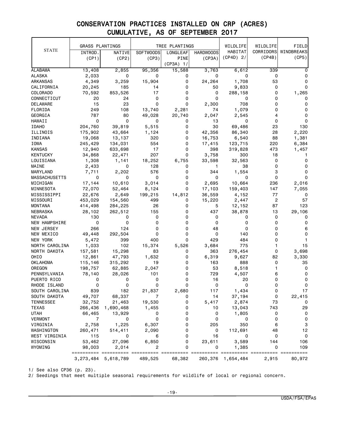|                      | <b>GRASS PLANTINGS</b> |           |                  | TREE PLANTINGS |                  | WILDLIFE    | WILDLIFE       | FIELD         |
|----------------------|------------------------|-----------|------------------|----------------|------------------|-------------|----------------|---------------|
| <b>STATE</b>         | INTROD.                | NATIVE    | <b>SOFTWOODS</b> | LONGLEAF       | <b>HARDWOODS</b> | HABITAT     | CORRIDORS      | WINDBREAKS    |
|                      | (CP1)                  | (CP2)     | (CP3)            | <b>PINE</b>    | (CP3A)           | $(CP4D)$ 2/ | (CP4B)         | (CP5)         |
|                      |                        |           |                  | $(CP3A)$ 1/    |                  |             |                |               |
| <b>ALABAMA</b>       | 13,408                 | 2,855     | 95,356           | 15,588         | 3,763            | 6,612       | 339            | 0             |
| ALASKA               | 2,033                  | 0         | 0                | 0              | 0                | 0           | 0              | 0             |
| ARKANSAS             | 4,349                  | 3,259     | 15,904           | 0              | 24,264           | 1,708       | 53             | 0             |
| CALIFORNIA           | 20,245                 | 185       | 14               | 0              | 50               | 9,833       | 0              | 0             |
| COLORADO             | 70,592                 | 853,526   | 17               | 0              | 0                | 288,158     | 0              | 1,265         |
| CONNECTICUT          | 20                     | 24        | 0                | 0              | 0                | 0           | 0              | 0             |
| DELAWARE             | 15                     | 23        | 0                | 0              | 2,300            | 708         | 0              | 0             |
| FLORIDA              | 249                    | 108       | 13,740           | 2,281          | 74               | 1,079       | 0              | 0             |
| GEORGIA              | 787                    | 80        | 49,028           | 20,740         | 2,047            | 2,545       | 4              | 0             |
| HAWAII               | 0                      | 0         | 0                | 0              | 13               | 0           | 0              | 0             |
| <b>IDAHO</b>         | 204,760                | 39,819    | 5,515            | 0              | 30               | 69,486      | 23             | 130           |
| ILLINOIS             | 175,902                | 43,664    | 1,124            | 0              | 42,356           | 86,340      | 28             | 2,220         |
| INDIANA              | 19,068                 | 13,137    | 320              | 0              | 16,753           | 6,540       | 88             | 1,381         |
| IOWA                 | 245,429                | 134,031   | 554              | 0              | 17,415           | 123,715     | 220            | 6,384         |
| <b>KANSAS</b>        | 12,940                 | 633,698   | 17               | 0              | 398              | 319,828     | 473            | 1,457         |
| KENTUCKY             | 34,868                 | 22,471    | 207              | 0              | 3,758            | 300         | 18             | 1             |
| LOUISIANA            | 1,308                  | 1,141     | 18,252           | 6,755          | 33,598           | 32,563      | 0              | $\Omega$      |
| MAINE                | 2,433                  | 0         | 128              | 0              | 1                | 38          | 0              | 0             |
| MARYLAND             | 7,711                  | 2,202     | 576              | 0              | 344              | 1,554       | 3              | 0             |
| <b>MASSACHUSETTS</b> | 0                      | 0         | 0                | 0              | 0                | 0           | $\Omega$       | $\Omega$      |
| MICHIGAN             | 17,144                 | 10,610    | 3,014            | 0              | 2,695            | 10,664      | 236            | 2,016         |
| MINNESOTA            | 72,070                 | 52,464    | 8,124            | 0              | 17,103           | 159,403     | 147            | 7,055         |
| MISSISSIPPI          | 22,676                 | 2,649     | 199,215          | 14,812         | 36,559           | 4,152       | 77             | 0             |
| MISSOURI             | 453,029                | 154,560   | 499              | 0              | 15,220           | 2,447       | $\overline{c}$ | 57            |
| MONTANA              | 414,498                | 284,225   | 26               | 0              | 5                | 12,152      | 87             | 123           |
| NEBRASKA             | 28,102                 | 262,512   | 155              | 0              | 437              | 38,878      | 13             | 29,106        |
| NEVADA               | 130                    | 0         | 0                | 0              | 0                | 0           | 0              | 0             |
| <b>NEW HAMPSHIRE</b> | 0                      | 0         | 0                | 0              | 0                | 0           | 0              | 0             |
| NEW JERSEY           | 266                    | 124       | 0                | 0              | 48               | 0           | 0              | 6             |
| NEW MEXICO           | 49,448                 | 292,504   | 0                | 0              | 0                | 140         | 0              | 0             |
| NEW YORK             | 5,472                  | 399       | 400              | 0              | 429              | 484         | 0              | $\mathbf{1}$  |
| NORTH CAROLINA       | 1,033                  | 102       | 15,374           | 5,526          | 3,684            | 775         | 1              | 15            |
| NORTH DAKOTA         | 157,581                | 15,298    | 83               | 0              | 363              | 276,454     | 0              | 3,698         |
| OHIO                 | 12,861                 | 47,793    | 1,632            | 0              | 6,319            | 9,627       | 82             | 3,330         |
| OKLAHOMA             | 115,146                | 315,292   | 19               | 0              | 163              | 888         | 0              | 35            |
| OREGON               | 198,757                | 62,885    | 2,047            | 0              | 53               | 8,518       | 1              | 0             |
| PENNSYLVANIA         | 78,140                 | 28,026    | 101              | 0              | 729              | 4,507       | 6              | 0             |
| PUERTO RICO          | 0                      | 0         | 0                | 0              | 16               | 20          | 0              | 0             |
| RHODE ISLAND         | 0                      | 0         | 0                | 0              | 0                | 0           | 0              | 0             |
| SOUTH CAROLINA       | 839                    | 182       | 21,837           | 2,680          | 117              | 1,434       | 0              | 17            |
| SOUTH DAKOTA         | 49,707                 | 68,337    | 7                | 0              | 14               | 37,194      | 0              | 22,415        |
| <b>TENNESSEE</b>     | 32,752                 | 21,463    | 19,530           | 0              | 5,417            | 2,874       | 73             | 0             |
| <b>TEXAS</b>         | 266,436                | 1,690,468 | 1,455            | 0              | 10               | 13,043      | 743            | 29            |
| <b>UTAH</b>          | 66,465                 | 13,929    | 0                | 0              | 0                | 1,805       | 0              | 0             |
| <b>VERMONT</b>       | 7                      | 0         | 0                | 0              | 0                | 0           | 0              | 0             |
| VIRGINIA             | 2,758                  | 1,225     | 6,307            | 0              | 205              | 350         | 6              | 3             |
| WASHINGTON           | 260,471                | 514,411   | 2,090            | 0              | 0                | 112,691     | 48             | 12            |
| WEST VIRGINIA        | 115                    | 0         | 6                | 0              | 16               | 0           | 0              | 0             |
| WISCONSIN            | 53,462                 | 27,096    | 6,850            | 0              | 23,611           | 3,589       | 144            | 106           |
| WYOMING              | 98,003                 | 2,014     | 2                | 0              | 0                | 1,385       | 0              | 109           |
|                      | 3,273,484              | 5,618,789 | 489,525          | 68,382         | 260,376          | 1,654,484   | 2,915          | ===<br>80,972 |

1/ See also CP36 (p. 23).

2/ Seedings that meet multiple seasonal requirements for wildlife of local or regional concern.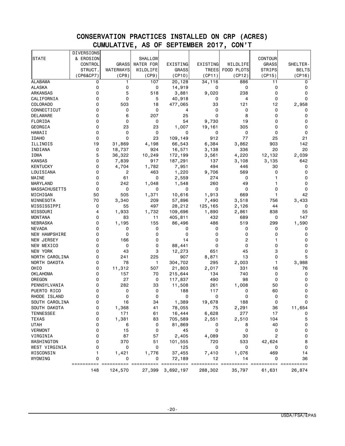|                                | DIVERSIONS      |                                      |                  |                  |                      |                |                |                        |
|--------------------------------|-----------------|--------------------------------------|------------------|------------------|----------------------|----------------|----------------|------------------------|
| <b>STATE</b>                   | & EROSION       |                                      | <b>SHALLOW</b>   |                  |                      |                | CONTOUR        |                        |
|                                | CONTROL         | <b>GRASS</b>                         | <b>WATER FOR</b> | EXISTING         | EXISTING             | WILDLIFE       | GRASS          | SHELTER-               |
|                                | STRUCT.         | WATERWAYS                            | WILDLIFE         | <b>GRASS</b>     | <b>TREES</b>         | FOOD PLOTS     | <b>STRIPS</b>  | <b>BELTS</b>           |
|                                | (CP6&CP7)       | (CP8)                                | (CP9)            | (CP10)           | (CP11)               | (CP12)         | (CP15)         | (CP16)                 |
| <b>ALABAMA</b>                 | 0               | 1                                    | 107              | 20, 128          | 34,116               | 886            | 11             | 0                      |
| ALASKA                         | 0               | 0                                    | 0                | 14,919           | 0                    | 0              | 0              | 0                      |
| <b>ARKANSAS</b>                | 0               | 5                                    | 518              | 3,881            | 9,020                | 238            | 0              | 0                      |
| CALIFORNIA                     | 0               | $\mathbf 0$                          | 5                | 40,918           | 0                    | 4              | 0              | 0                      |
| COLORADO                       | 0               | 503                                  | 18               | 477,065          | 33                   | 121            | 12             | 2,958                  |
| CONNECTICUT                    | 0               | 0                                    | 0                | 4                | 0                    | 0              | 0              | 0                      |
| DELAWARE                       | 0               | 6                                    | 207              | 25               | 0                    | 8              | 0              | 0                      |
| FLORIDA                        | 0               | 0                                    | 0                | 54               | 9,730                | 19             | 0              | 0                      |
| GEORGIA                        | 0               | 23                                   | 23               | 1,007            | 19,161               | 305            | 0              | 0                      |
| HAWAII                         | 0               | 0                                    | 0                | 0                | 0                    | 0              | 0              | 0                      |
| <b>IDAHO</b>                   | 0               | $\mathbf 0$                          | 23               | 109,149          | 912                  | 77             | 25             | 21                     |
| ILLINOIS                       | 19              | 31,869                               | 4,198            | 66,543           | 6,384                | 3,862          | 903            | 142                    |
| INDIANA                        | 0               | 18,737                               | 924              | 16,571           | 3,138                | 336            | 20             | 20                     |
| IOWA                           | 5               | 36,322                               | 10,249           | 172,199          | 3,561                | 4,220          | 12,132         | 2,039                  |
| <b>KANSAS</b>                  | 0               | 7,839                                | 917              | 187,291          | 137                  | 3,108          | 3,135          | 642                    |
| <b>KENTUCKY</b>                | 0               | 4,704                                | 1,782            | 7,951            | 494                  | 446            | 30             | 0                      |
| LOUISIANA                      | 0               | 2                                    | 463              | 1,220            | 9,706                | 569            | 0              | 0                      |
| MAINE                          | 0               | 61                                   | 0                | 2,559            | 274                  | 0              | 1              | 0                      |
| MARYLAND                       | 0               | 242                                  | 1,048            | 1,548            | 260                  | 49             | 1              | 0                      |
| <b>MASSACHUSETTS</b>           | $\mathbf 0$     | 0                                    | 0                | 0                | 0                    | 0              | 0              | 0                      |
| MICHIGAN                       | 50              | 505                                  | 1,371            | 10,616           | 1,913                | 669            | 1              | 42                     |
|                                | 70              |                                      | 209              |                  |                      |                |                |                        |
| MINNESOTA<br>MISSISSIPPI       | 0               | 3,340<br>55                          | 497              | 57,896           | 7,490<br>125,165     | 3,518          | 756<br>44      | 3,433<br>0             |
| MISSOURI                       | 4               |                                      |                  | 28,212           |                      | 2,126          |                |                        |
|                                | 0               | 1,933                                | 1,732            | 109,696          | 1,890                | 2,861          | 838            | 55                     |
| MONTANA                        | 0               | 83                                   | 11               | 405,811          | 432                  | 689            | 0              | 147                    |
| NEBRASKA                       |                 | 1,195                                | 155              | 86,496           | 486                  | 519            | 299            | 1,590                  |
| <b>NEVADA</b><br>NEW HAMPSHIRE | 0<br>0          | 0<br>0                               | 0<br>0           | 0<br>0           | 0<br>0               | 0<br>0         | 0<br>0         | 0<br>0                 |
|                                |                 |                                      |                  |                  |                      |                |                |                        |
| NEW JERSEY                     | 0               | 166                                  | 0                | 14               | 0                    | $\overline{c}$ | 1              | 0                      |
| NEW MEXICO                     | 0               | 0                                    | 0                | 88,441           | 0                    | 0              | 0              | 0                      |
| NEW YORK                       | 0               | 43                                   | 3                | 12,273           | 651                  | 45             | 3              | 0                      |
| NORTH CAROLINA                 | 0               | 241                                  | 225              | 907              | 8,871                | 13             | 0              | 5                      |
| NORTH DAKOTA                   | 0               | 78                                   | 1                | 304,702          | 295                  | 2,003          | 1              | 3,988                  |
| OHIO                           | 0               | 11,312                               | 507              | 21,803           | 2,017                | 331            | 16             | 76                     |
| OKLAHOMA                       | 0               | 157                                  | 70               | 215,644          | 134                  | 740            | 0              | 0                      |
| OREGON                         | 0               | 27                                   | 0                | 117,837          | 490                  | 98             | 0              | 0                      |
| PENNSYLVANIA                   | 0               | 282                                  | 33               | 11,508           | 261                  | 1,008          | 50             | 0                      |
| PUERTO RICO                    | 0               | 0                                    | 0                | 188              | 117                  | 0              | 60             | 0                      |
| RHODE ISLAND                   | 0               | 0                                    | 0                | 0                | 0                    | 0              | 0              | 0                      |
| SOUTH CAROLINA                 | 0               | 16                                   | 34               | 1,389            | 19,678               | 188            | 0              | 0                      |
| SOUTH DAKOTA                   | 0               | 1,368                                | 41               | 78,055           | 75                   | 2,291          | 36             | 11,654                 |
| <b>TENNESSEE</b>               | 0               | 171                                  | 61               | 16,444           | 6,628                | 277            | 17             | 0                      |
| <b>TEXAS</b>                   | 0               | 1,381                                | 83               | 705,589          | 2,551                | 2,510          | 104            | 5                      |
| <b>UTAH</b>                    | 0               | 6                                    | 0                | 81,869           | 0                    | 8              | 40             | 0                      |
| <b>VERMONT</b>                 | 0               | 15                                   | 0                | 45               | 0                    | 0              | 0              | 0                      |
| VIRGINIA                       | 0               | 87                                   | 57               | 2,405            | 4,089                | 30             | $\overline{c}$ | 0                      |
| WASHINGTON                     | 0               | 370                                  | 51               | 101,555          | 720                  | 533            | 42,624         | 8                      |
| WEST VIRGINIA                  | 0               | 0                                    | 0                | 125              | 0                    | 0              | 0              | 0                      |
| WISCONSIN                      | 1               | 1,421                                | 1,776            | 37,455           | 7,410                | 1,076          | 469            | 14                     |
| WYOMING                        | 0<br>========== | 0<br>====<br>$=$ $=$ $=$ $=$ $=$ $=$ | 0                | 72,189           | 12<br>===<br>======= | 14             | 0              | 36<br>======<br>$====$ |
|                                | 148             | 124,570                              |                  | 27,399 3,692,197 | 288,302              | 35,797         | 61,631         | 26,874                 |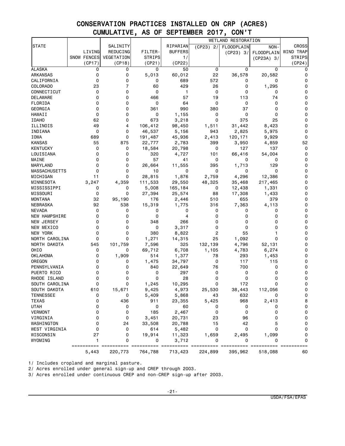|                      |                    |            |               |                | WETLAND RESTORATION |                       |              |               |
|----------------------|--------------------|------------|---------------|----------------|---------------------|-----------------------|--------------|---------------|
| <b>STATE</b>         |                    | SALINITY   |               | RIPARIAN       | (CP23) 2/           | FLOODPLAIN            | NON-         | <b>CROSS</b>  |
|                      | LIVING             | REDUCING   | FILTER-       | <b>BUFFERS</b> |                     | (CP23) 3/             | FLOODPLAIN   | WIND TRAP     |
|                      | <b>SNOW FENCES</b> | VEGETATION | <b>STRIPS</b> | 1/             |                     |                       | $(CP23A)$ 3/ | <b>STRIPS</b> |
|                      | (CP17)             | (CP18)     | (CP21)        | (CP22)         |                     |                       |              | (CP24)        |
| <b>ALASKA</b>        | 0                  | 0          | 0             | 50             | 0                   | 0                     | 0            | 0             |
| <b>ARKANSAS</b>      | 0                  | 0          | 5,013         | 60,012         | 22                  | 36,578                | 20,582       | 0             |
| CALIFORNIA           | 0                  | 0          | 0             | 689            | 572                 | 0                     | 0            | 0             |
| COLORADO             | 23                 | 7          | 60            | 429            | 26                  | 0                     | 1,295        | 0             |
| CONNECTICUT          | 0                  | 0          | 0             | 1              | 0                   | 0                     | 0            | 0             |
| DELAWARE             | 0                  | 0          | 466           | 57             | 19                  | 113                   | 74           | 0             |
| FLORIDA              | 0                  | 0          | 0             | 64             | 0                   | 0                     | $\mathbf 0$  | 0             |
| GEORGIA              | 0                  | 0          | 361           | 990            | 380                 | 37                    | 0            | 0             |
| HAWAII               | 0                  | 0          | 0             | 1,155          | 0                   | 0                     | 0            | 0             |
|                      |                    | 0          |               |                | 0                   |                       | 25           | 0             |
| <b>IDAHO</b>         | 62                 |            | 673           | 3,218          |                     | 375                   |              |               |
| ILLINOIS             | 49                 | 4          | 106,412       | 98,450         | 1,511               | 31,442                | 8,423        | 0             |
| INDIANA              | 0                  | 0          | 46,537        | 5,156          | 943                 | 2,825                 | 5,975        | 0             |
| <b>IOWA</b>          | 689                | 0          | 191,487       | 45,936         | 2,413               | 120,171               | 9,929        | 0             |
| <b>KANSAS</b>        | 55                 | 875        | 22,777        | 2,783          | 399                 | 3,950                 | 4,859        | 52            |
| <b>KENTUCKY</b>      | 0                  | 0          | 18,584        | 20,798         | 0                   | 127                   | 137          | 0             |
| LOUISIANA            | 0                  | 0          | 320           | 4,727          | 101                 | 66,416                | 54,004       | 0             |
| MAINE                | 0                  | 0          | 57            | 41             | 0                   | 0                     | 0            | 0             |
| MARYLAND             | 0                  | 0          | 26,664        | 11,555         | 395                 | 1,713                 | 129          | 0             |
| <b>MASSACHUSETTS</b> | 0                  | 0          | 10            | 0              | 0                   | 0                     | 0            | 0             |
| MICHIGAN             | 11                 | 0          | 28,815        | 1,876          | 2,759               | 4,296                 | 12,386       | 0             |
| MINNESOTA            | 3,247              | 4,359      | 111,533       | 29,550         | 48,325              | 35,468                | 217,465      | 0             |
| MISSISSIPPI          | 0                  | 0          | 5,008         | 165,184        | 0                   | 12,438                | 1,331        | 0             |
| MISSOURI             | 0                  | 0          | 27,394        | 25,574         | 88                  | 17,308                | 1,433        | 0             |
| <b>MONTANA</b>       | 32                 | 95,190     | 176           | 2,446          | 510                 | 655                   | 379          | 0             |
| NEBRASKA             | 92                 | 538        | 15,319        | 1,775          | 316                 | 7,363                 | 4,113        | 0             |
| <b>NEVADA</b>        | 0                  | 0          | 0             | 0              | 0                   | 0                     | 0            | 0             |
| <b>NEW HAMPSHIRE</b> | 0                  | 0          | 0             | 4              | 0                   | 0                     | 0            | 0             |
| NEW JERSEY           | 0                  | 0          | 348           | 266            | 0                   | 0                     | 0            | 0             |
| NEW MEXICO           | 0                  | 0          | 0             | 3,317          | 0                   | 0                     | 0            | 0             |
| NEW YORK             | 0                  | 0          | 380           | 8,822          | 2                   | 55                    |              | 0             |
| NORTH CAROLINA       | 0                  | 0          | 1,271         | 14,315         | 25                  | 1,092                 | 0            | 0             |
| NORTH DAKOTA         | 545                | 101,759    | 7,596         | 325            | 132,139             | 4,796                 | 52,131       | 0             |
| OHIO                 | 0                  | 0          | 69,712        | 6,708          | 1,105               | 4,783                 | 6,274        | 0             |
| OKLAHOMA             | 0                  | 1,909      | 514           | 1,377          | 78                  | 293                   | 1,453        | 0             |
| OREGON               | 0                  | 0          | 1,475         | 34,797         | 0                   | 117                   | 115          | 0             |
| PENNSYLVANIA         | 0                  | 0          | 840           | 22,649         | 76                  | 700                   | 0            | 0             |
| PUERTO RICO          | 0                  | 0          | 0             | 297            | 0                   | 0                     | 0            | 0             |
|                      | 0                  | 0          | 0             | 28             | 0                   | $\mathbf 0$           | 0            | 0             |
| RHODE ISLAND         |                    |            |               |                | 0                   |                       |              | 0             |
| SOUTH CAROLINA       | 0                  | 0          | 1,245         | 10,295         |                     | 172                   | 0            |               |
| SOUTH DAKOTA         | 610                | 15,671     | 9,425         | 4,973          | 25,530              | 38,443                | 112,056      | 0             |
| <b>TENNESSEE</b>     | 0                  | 0          | 5,409         | 5,868          | 43                  | 632                   | 0            | 0             |
| <b>TEXAS</b>         | 0                  | 436        | 911           | 23,355         | 5,425               | 968                   | 2,413        | 8             |
| <b>UTAH</b>          | 0                  | 0          | 0             | 60             | 0                   | 0                     | 0            | 0             |
| <b>VERMONT</b>       | 0                  | 0          | 185           | 2,467          | 0                   | 0                     | 0            | 0             |
| VIRGINIA             | 0                  | 0          | 3,451         | 20,731         | 23                  | 96                    | 0            | 0             |
| WASHINGTON           | 0                  | 24         | 33,508        | 20,788         | 15                  | 42                    | 5            | 0             |
| WEST VIRGINIA        | 0                  | 0          | 614           | 5,482          | 0                   | 0                     | 0            | 0             |
| WISCONSIN            | 27                 | 0          | 19,914        | 11,323         | 1,659               | 2,495                 | 1,099        | 0             |
| WYOMING              | 1                  | 0          | 0             | 3,712          | 0                   | 0                     | 0            | 0             |
|                      | ==========         |            |               |                |                     | $=$ = = = = = = = = = |              |               |
|                      | 5,443              | 220,773    | 764,788       | 713,423        | 224,899             | 395,962               | 518,088      | 60            |

1/ Includes cropland and marginal pasture.

2/ Acres enrolled under general sign-up and CREP through 2003.

3/ Acres enrolled under continuous CREP and non-CREP sign-up after 2003.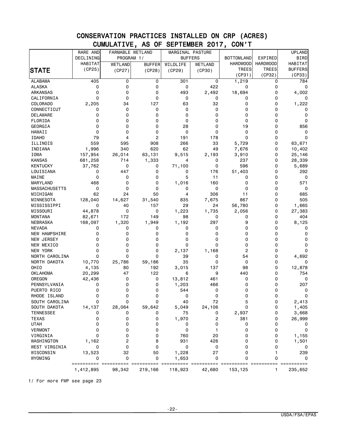|                        | RARE AND    | FARMABLE WETLAND |               | MARGINAL PASTURE |                |                   |                 | <b>UPLAND</b>  |
|------------------------|-------------|------------------|---------------|------------------|----------------|-------------------|-----------------|----------------|
|                        | DECLINING   | PROGRAM 1/       |               |                  | <b>BUFFERS</b> | <b>BOTTOMLAND</b> | EXPIRED         | <b>BIRD</b>    |
|                        | HABITAT     | WETLAND          | <b>BUFFER</b> | WILDLIFE         | WETLAND        | <b>HARDWOOD</b>   | <b>HARDWOOD</b> | HABITAT        |
| <b>STATE</b>           | (CP25)      |                  | (CP28)        | (CP29)           | (CP30)         | <b>TREES</b>      | <b>TREES</b>    | <b>BUFFERS</b> |
|                        |             | (CP27)           |               |                  |                | (CP31)            | (CP32)          | (CP33)         |
| <b>ALABAMA</b>         | 405         | 0                | 0             | 301              | 0              | 1,219             | 0               | 784            |
| <b>ALASKA</b>          | 0           | 0                | 0             | 0                | 422            | 0                 | $\mathbf 0$     | 0              |
| <b>ARKANSAS</b>        | $\mathbf 0$ | 0                | 0             | 493              | 2,492          | 18,694            | $\Omega$        | 4,002          |
| CALIFORNIA             | 0           | 0                | 0             | 0                | 0              | 0                 | 0               | 0              |
| COLORADO               | 2,205       | 34               | 127           | 63               | 32             | 0                 | $\mathbf 0$     | 1,222          |
| CONNECTICUT            | 0           | 0                | 0             | 0                | 0              | 0                 | $\Omega$        | 0              |
| <b>DELAWARE</b>        | 0           | 0                | 0             | 0                | 0              | 0                 | 0               | 0              |
| FLORIDA                | 0           | 0                | 0             | 0                | 0              | 0                 | $\mathbf 0$     | 0              |
| <b>GEORGIA</b>         | 0           | 0                | 0             | 28               | 0              | 19                | $\mathbf 0$     | 856            |
| HAWAII                 | $\mathbf 0$ | 0                | 0             | 0                | 0              | 0                 | 0               | 0              |
| <b>IDAHO</b>           | 79          | 4                | 2             | 191              | 178            | $\mathbf 0$       | $\mathbf 0$     | 0              |
| ILLINOIS               | 559         | 595              | 908           | 266              | 33             | 5,729             | $\mathbf 0$     | 63,671         |
| INDIANA                | 1,996       | 340              | 620           | 62               | 49             | 7,676             | 0               | 10,402         |
| <b>IOWA</b>            | 157,954     | 26,014           | 63,131        | 9,515            | 2,193          | 3,910             | $\mathbf 0$     | 25,146         |
| <b>KANSAS</b>          | 681,258     | 714              | 1,333         | 4                | 0              | 237               | $\mathbf 0$     | 28,339         |
| <b>KENTUCKY</b>        | 37,762      | 0                | 0             | 71,100           | 0              | 596               | $\mathbf 0$     | 5,689          |
| LOUISIANA              | 0           | 447              | 0             | 0                | 176            | 51,403            | 0               | 292            |
| MAINE                  | 0           | 0                | 0             | 5                | 11             | 0                 | $\mathbf 0$     | 0              |
| MARYLAND               | 468         | 0                | 0             | 1,016            | 160            | 0                 | $\mathbf 0$     | 571            |
| <b>MASSACHUSETTS</b>   | 0           | 0                | 0             | 0                | 0              | 0                 | 0               | 0              |
| MICHIGAN               | 62          | 24               | 50            | 4                | 306            | 11                | $\mathbf 0$     | 685            |
| MINNESOTA              | 128,040     | 14,627           | 31,540        | 835              | 7,675          | 867               | $\mathbf 0$     | 505            |
| MISSISSIPPI            | 0           | 40               | 157           | 29               | 24             | 56,780            | $\mathbf 0$     | 1,665          |
| MISSOURI               | 44,878      | 0                | 0             | 1,223            | 1,735          | 2,056             | 0               | 27,383         |
| <b>MONTANA</b>         | 82,671      | 172              | 149           | 98               | 0              | 0                 | $\mathbf 0$     | 404            |
| NEBRASKA               | 168,097     | 1,320            | 1,949         | 1,192            | 297            | 9                 | 0               | 8,125          |
| <b>NEVADA</b>          | 0           | 0                | 0             | 0                | 0              | 0                 | 0               | 0              |
| <b>NEW HAMPSHIRE</b>   | 0           | 0                | 0             | 0                | 0              | 0                 | 0               | 0              |
| NEW JERSEY             | 0           | 0                | 0             | 0                | 0              | 0                 | 0               | 0              |
| NEW MEXICO             | 0           | 0                | 0             | 0                | 0              | 0                 | 0               | 0              |
| NEW YORK               | 0           | 0                | 0             | 2,137            | 1,168          | $\overline{c}$    | 0               | 0              |
| NORTH CAROLINA         | 0           | 0                | 0             | 39               | 0              | 54                | 0               | 4,692          |
| NORTH DAKOTA           | 10,770      | 25,786           | 59,186        | 35               | 0              | 0                 | 0               | 0              |
| OHIO                   | 4,135       | 80               | 192           | 3,015            | 137            | 98                | 0               | 12,878         |
| <b>OKLAHOMA</b>        | 20,299      | 47               | 122           | 6                | 9              | 440               | 0               | 754            |
| OREGON                 | 42,436      | 0                | 0             | 13,812           | 461            | 0                 | 0               | 0              |
| PENNSYLVANIA           | 0           | 0                | 0             | 1,203            | 466            | 0                 | 0               | 207            |
| PUERTO RICO            | 0           | 0                | 0             | 544              | 0              | 0                 | 0               | 0              |
| RHODE ISLAND           | 0           | 0                | 0             | 0                | 0              | 0                 | 0               | 0              |
| SOUTH CAROLINA         | 0           | 0                | 0             | 40               | 72             | 5                 | 0               | 2,413          |
| SOUTH DAKOTA           | 14,137      | 28,064           | 59,642        | 5,049            | 24,106         | 0                 | 0               | 1,405          |
| <b>TENNESSEE</b>       | 0<br>0      | 0<br>0           | 0<br>0        | 75               | 0              | 2,937             | 0<br>0          | 3,668          |
| <b>TEXAS</b>           |             |                  |               | 1,970            | 2              | 381               |                 | 26,999         |
| <b>UTAH</b>            | 0<br>0      | 0<br>0           | 0<br>0        | 0<br>0           | 0<br>1         | 0<br>0            | 0               | 0              |
| <b>VERMONT</b>         | 0           | 0                |               |                  |                | 0                 | 0               | 0              |
| VIRGINIA<br>WASHINGTON |             | 2                | 0             | 760<br>931       | 20<br>426      | 0                 | 0<br>0          | 1,155          |
| WEST VIRGINIA          | 1,162<br>0  | 0                | 8<br>0        | 0                | 0              | 0                 | 0               | 1,501<br>0     |
| WISCONSIN              | 13,523      | 32               | 50            | 1,228            | 27             | 0                 | 1               | 239            |
| WYOMING                | 0           | 0                | 0             | 1,653            | 0              | 0                 | 0               | 0              |
|                        |             |                  |               |                  |                |                   |                 |                |
|                        | 1,412,895   | 98,342           | 219,166       | 118,923          | 42,680         | 153,125           | 1               | 235,652        |

1/ For more FWP see page 23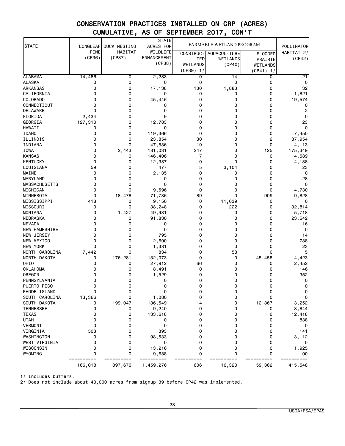|                      |             |              | <b>STATE</b>       |                  |                          |                |                       |
|----------------------|-------------|--------------|--------------------|------------------|--------------------------|----------------|-----------------------|
| <b>STATE</b>         | LONGLEAF    | DUCK NESTING | ACRES FOR          |                  | FARMABLE WETLAND PROGRAM |                | POLLINATOR            |
|                      | PINE        | HABITAT      | WILDLIFE           | <b>CONSTRUC-</b> | <b>AQUACUL - TURE</b>    | <b>FLOODED</b> | HABITAT $2/$          |
|                      | (CP36)      | (CP37)       | <b>ENHANCEMENT</b> | TED              | <b>WETLANDS</b>          | PRAIRIE        | (CP42)                |
|                      |             |              | (CP38)             | <b>WETLANDS</b>  | (CP40)                   | WETLANDS       |                       |
|                      |             |              |                    | $(CP39)$ 1/      |                          | (CP41)<br>1/   |                       |
| <b>ALABAMA</b>       | 14,486      | 0            | 2,283              | 0                | 14                       | 0              | 21                    |
| <b>ALASKA</b>        | 0           | 0            | 0                  | 0                | 0                        | 0              | 0                     |
| ARKANSAS             | 0           | 0            | 17,138             | 130              | 1,883                    | 0              | 32                    |
| CALIFORNIA           | 0           | 0            | 0                  | 0                | 0                        | 0              | 1,821                 |
| <b>COLORADO</b>      | 0           | 0            | 45,446             | 0                | 0                        | 0              | 19,574                |
| CONNECTICUT          | 0           | 0            | 0                  | 0                | 0                        | 0              | 0                     |
| <b>DELAWARE</b>      | $\mathbf 0$ | 0            | 0                  | 0                | 0                        | 0              | $\overline{c}$        |
| FLORIDA              | 2,434       | 0            | 9                  | 0                | 0                        | 0              | 0                     |
| GEORGIA              | 127,310     | 0            | 12,783             | 0                | 0                        | 0              | 23                    |
| <b>HAWAII</b>        | 0           | 0            | 0                  | 0                | 0                        | 0              | $\mathbf 0$           |
| <b>IDAHO</b>         | 0           | 0            | 119,366            | 0                | 0                        | 0              | 7,450                 |
| ILLINOIS             | 0           | 0            | 23,854             | 30               | 0                        | 2              | 87,954                |
| INDIANA              | 0           | 0            | 47,536             | 19               | 0                        | 0              | 4,113                 |
| IOWA                 | 0           | 2,443        | 181,031            | 247              | 0                        | 125            | 175,349               |
| <b>KANSAS</b>        | 0           | 0            | 146,406            | 7                | 0                        | 0              | 4,589                 |
| <b>KENTUCKY</b>      | 0           | 0            | 12,387             | 0                | 0                        | 0              | 4,138                 |
| LOUISIANA            | 59          | 0            | 477                | 5                | 3,104                    | 0              | 23                    |
| MAINE                | 0           | 0            | 2,135              | 0                | 0                        | 0              | 0                     |
| <b>MARYLAND</b>      | 0           | 0            | 0                  | 0                | 0                        | 0              | 28                    |
| <b>MASSACHUSETTS</b> | 0           | 0            | 0                  | 0                | 0                        | 0              | $\mathbf 0$           |
| MICHIGAN             | 0           | 0            | 9,596              | 0                | 0                        | 0              | 4,730                 |
| MINNESOTA            | 0           | 18,478       | 71,736             | 89               | 0                        | 909            | 9,828                 |
| MISSISSIPPI          | 418         | 0            | 9,150              | 0                | 11,039                   | 0              | 0                     |
| MISSOURI             | 0           | 0            | 38,248             | 0                | 222                      | 0              | 32,814                |
| <b>MONTANA</b>       | 0           | 1,427        | 49,931             | 0                | 0                        | 0              | 5,718                 |
| NEBRASKA             | 0           | 0            | 91,830             | 0                | 0                        | 0              | 23,542                |
| <b>NEVADA</b>        | 0           | 0            | 0                  | 0                | 0                        | 0              | 16                    |
| NEW HAMPSHIRE        | 0           | 0            | 0                  | 0                | 0                        | 0              | 0                     |
| <b>NEW JERSEY</b>    | $\Omega$    | 0            | 795                | 0                | 0                        | 0              | 14                    |
| NEW MEXICO           | 0           | 0            | 2,600              | 0                | 0                        | 0              | 738                   |
| <b>NEW YORK</b>      | 0           | 0            | 1,381              | 0                | 0                        | 0              | 23                    |
| NORTH CAROLINA       | 7,442       | 0            | 834                | 0                | 58                       | 0              | 5                     |
| NORTH DAKOTA         | 0           | 176,281      | 132,073            | 0                | 0                        | 45,458         | 4,423                 |
| OHIO                 | 0           | 0            | 27,912             | 66               | 0                        | 0              | 2,452                 |
| <b>OKLAHOMA</b>      | 0           | 0            | 8,491              | 0                | 0                        | 0              | 146                   |
| OREGON               | 0           | 0            | 1,529              | 0                | 0                        | 0              | 352                   |
| PENNSYLVANIA         | 0           | 0            | 0                  | 0                | 0                        | 0              | 0                     |
| PUERTO RICO          | 0           | 0            | 0                  | 0                | 0                        | 0              | 0                     |
| RHODE ISLAND         | 0           | 0            | 0                  | 0                | 0                        | 0              | 0                     |
| SOUTH CAROLINA       | 13,366      | 0            | 1,080              | 0                | 0                        | 0              | $\mathbf 0$           |
| SOUTH DAKOTA         | 0           | 199,047      | 136,549            | 14               | 0                        | 12,867         | 3,252                 |
| <b>TENNESSEE</b>     | 0           | 0            | 9,240              | 0                | 0                        | 0              | 3,844                 |
| <b>TEXAS</b>         | 0           | 0            | 133,618            | 0                | 0                        | 0              | 12,418                |
| <b>UTAH</b>          | 0           | 0            | 0                  | 0                | 0                        | 0              | 838                   |
| <b>VERMONT</b>       | 0           | 0            | 0                  | 0                | 0                        | 0              | 0                     |
| VIRGINIA             | 503         | 0            | 393                | 0                | 0                        | 0              | 141                   |
| WASHINGTON           | 0           | 0            | 98,533             | 0                | 0                        | 0              | 3,112                 |
| WEST VIRGINIA        | 0           | 0            | 0                  | 0                | 0                        | 0              | 0                     |
| WISCONSIN            | 0           | 0            | 13,216             | 0                | 0                        | 0              | 1,925                 |
| WYOMING              | $\mathbf 0$ | 0            | 9,688              | 0                | 0                        | 0              | 100                   |
|                      | ==========  | ==========   | ==========         | ==========       | ==========               | ==========     | $=$ = = = = = = = = = |
|                      | 166,018     | 397,676      | 1,459,276          | 606              | 16,320                   | 59,362         | 415,548               |

1/ Includes buffers.

2/ Does not include about 40,000 acres from signup 39 before CP42 was implemented.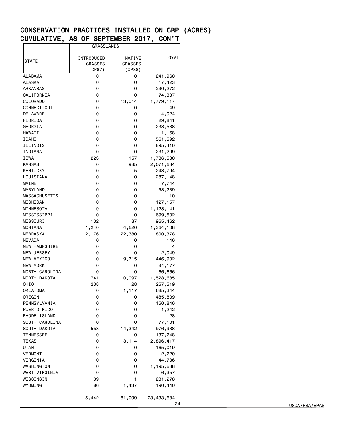|                      | <b>GRASSLANDS</b>                      |                                    |                          |
|----------------------|----------------------------------------|------------------------------------|--------------------------|
| STATE                | INTRODUCED<br><b>GRASSES</b><br>(CP87) | NATIVE<br><b>GRASSES</b><br>(CP88) | <b>TOYAL</b>             |
| ALABAMA              | 0                                      | 0                                  | 241,960                  |
| ALASKA               | 0                                      | 0                                  | 17,423                   |
| ARKANSAS             | 0                                      | 0                                  | 230,272                  |
| CALIFORNIA           | 0                                      | 0                                  | 74,337                   |
| COLORADO             | 0                                      | 13,014                             | 1,779,117                |
| CONNECTICUT          | 0                                      | 0                                  | 49                       |
| <b>DELAWARE</b>      | 0                                      | 0                                  | 4,024                    |
| FLORIDA              | 0                                      | 0                                  | 29,841                   |
| GEORGIA              | 0                                      | 0                                  | 238,538                  |
| HAWAII               | 0                                      | 0                                  | 1,168                    |
| <b>IDAHO</b>         | 0                                      | 0                                  |                          |
|                      |                                        |                                    | 561,592                  |
| ILLINOIS             | 0                                      | 0                                  | 895,410                  |
| INDIANA              | 0                                      | 0                                  | 231,299                  |
| IOWA                 | 223                                    | 157                                | 1,786,530                |
| KANSAS               | 0                                      | 985                                | 2,071,634                |
| KENTUCKY             | 0                                      | 5                                  | 248,794                  |
| LOUISIANA            | 0                                      | 0                                  | 287,148                  |
| MAINE                | 0                                      | 0                                  | 7,744                    |
| MARYLAND             | 0                                      | 0                                  | 58,239                   |
| <b>MASSACHUSETTS</b> | 0                                      | 0                                  | 10                       |
| MICHIGAN             | 0                                      | 0                                  | 127, 157                 |
| MINNESOTA            | 9                                      | 0                                  | 1,128,141                |
| MISSISSIPPI          | 0                                      | 0                                  | 699,502                  |
| MISSOURI             | 132                                    | 87                                 | 965,462                  |
| <b>MONTANA</b>       | 1,240                                  | 4,620                              | 1,364,108                |
| NEBRASKA             | 2,176                                  | 22,380                             | 800,378                  |
| <b>NEVADA</b>        | 0                                      | 0                                  | 146                      |
| <b>NEW HAMPSHIRE</b> | 0                                      | 0                                  | 4                        |
| <b>NEW JERSEY</b>    | 0                                      | 0                                  | 2,049                    |
| NEW MEXICO           | 0                                      | 9,715                              | 446,902                  |
| NEW YORK             | 0                                      | 0                                  | 34,177                   |
| NORTH CAROLINA       | 0                                      | 0                                  | 66,666                   |
| NORTH DAKOTA         | 741                                    | 10,097                             | 1,528,685                |
| OHIO                 | 238                                    | 28                                 | 257,519                  |
| <b>OKLAHOMA</b>      | 0                                      | 1,117                              | 685,344                  |
| OREGON               | 0                                      | 0                                  | 485,809                  |
| PENNSYLVANIA         | 0                                      | 0                                  | 150,846                  |
| PUERTO RICO          | 0                                      | 0                                  | 1,242                    |
| RHODE ISLAND         | 0                                      | 0                                  | 28                       |
| SOUTH CAROLINA       | 0                                      | 0                                  | 77,101                   |
| SOUTH DAKOTA         | 558                                    | 14,342                             | 976,938                  |
| TENNESSEE            | 0                                      | 0                                  | 137,748                  |
| <b>TEXAS</b>         | 0                                      | 3,114                              | 2,896,417                |
|                      |                                        |                                    |                          |
| <b>UTAH</b>          | 0                                      | 0                                  | 165,019                  |
| <b>VERMONT</b>       | 0                                      | 0                                  | 2,720                    |
| VIRGINIA             | 0                                      | 0                                  | 44,736                   |
| WASHINGTON           | 0                                      | 0                                  | 1,195,638                |
| WEST VIRGINIA        | 0                                      | 0                                  | 6,357                    |
| WISCONSIN            | 39                                     | 1                                  | 231,278                  |
| WYOMING              | 86                                     | 1,437                              | 190,440                  |
|                      |                                        |                                    |                          |
|                      | ==========<br>5,442                    | ==========<br>81,099               | ==========<br>23,433,684 |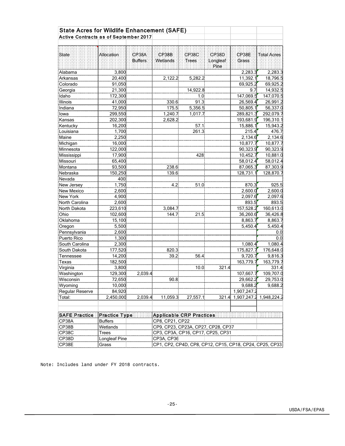| Active Contracts as of September 2017<br>CP38B<br>CP38A<br>CP38C<br>CP38D<br>CP38E<br>State<br><b>Allocation</b><br><b>Total Acres</b><br><b>Buffers</b><br>Wetlands<br>Trees<br>Longleaf<br>Grass<br>Pine<br>3,800<br>2,283.3<br>2,283.3<br>Alabama<br>20,400<br>2,122.2<br>5,282.2<br>11,392.1<br>18,796.5<br>Arkansas<br>69,925.2<br>69,925.2<br>Colorado<br>91,050<br>Georgia<br>21,300<br>14,922.8<br>9.7<br>14,932.5<br>147,069.5<br>147,070.5<br>Idaho<br>172,300<br>1.0<br>91.3<br>26,569.4<br>26,991.2<br>Illinois<br>41,000<br>330.6<br>72,950<br>56,337.0<br>Indiana<br>175.5<br>5,356.5<br>50,805.1<br>299,550<br>1,240.7<br>289,821.3<br>292,079.7<br>lowa<br>1,017.7<br>202,300<br>2,628.2<br>193,681.9<br>196,310.1<br>Kansas<br>16,200<br>57.1<br>15,886.1<br>15,943.2<br>Kentucky<br>215.4<br>476.7<br>Louisiana<br>1,700<br>261.3<br>2,134.6<br>Maine<br>2,250<br>2,134.6<br>10,877.7<br>16,000<br>10,877.7<br>Michigan<br>122,000<br>90,323.9<br>90,323.9<br>Minnesota<br>10,881.0<br>17,900<br>10,452.7<br>Mississippi<br>428<br>65,400<br>58,012.4<br>58,012.4<br>93,500<br>238.6<br>87,065.3<br>87,303.9<br>Montana<br>Nebraska<br>150,250<br>139.6<br>128,731.1<br>128,870.7<br>Nevada<br>400<br>1,750<br>870.3<br>925.5<br>4.2<br>51.0<br>2,600.0<br>2,600<br>2,600.0<br><b>New Mexico</b><br>4,900<br>2,097.6<br>2,097.6<br>2,600<br>893.5<br>893.5<br>North Carolina<br>223,610<br>3,084.7<br>157,528.2<br>160,613.0<br>North Dakota<br>102,600<br>144.7<br>21.5<br>36,260.6<br>36,426.8<br>Ohio<br>15,100<br>8,863.7<br>8,863.7<br>5,500<br>5,450.4<br>Oregon<br>5,450.4<br>Pennsylvania<br>2,600<br>0.0<br>Puerto Rico<br>1,300<br>0.0<br>2,300<br>1,080.4<br>1,080.4<br>South Carolina<br>177,520<br>820.3<br>175,827.7<br>176,648.0<br>South Dakota<br>39.2<br>Tennessee<br>14,200<br>56.4<br>9,720.7<br>9,816.3<br>163,779.7<br>182,500<br>163,779.7<br>Texas<br>3,800<br>10.0<br>321.4<br>331.4<br>Virginia<br>129,300<br>2,039.4<br>107,667.7<br>109,707.0<br>Washington<br>Wisconsin<br>72,650 <br>90.8<br>29,662.2<br>29,753.0<br>10,000<br>9,688.2<br>9,688.2<br>Wyoming<br>Regular Reserve<br>84,920<br>1,907,247.2<br>2,039.4<br>11,059.3<br>27,557.1<br>2,450,000<br>321.4<br>1,907,247.2 1,948,224.2<br>SAFE Practice<br>Practice Type<br><b>Applicable CRP Practices</b><br>CP38A<br><b>Buffers</b><br>CP8, CP21, CP22<br>CP38B<br>Wetlands<br>CP9, CP23, CP23A, CP27, CP28, CP37<br>CP38C<br>CP3, CP3A, CP16, CP17, CP25, CP31<br>Trees<br>Longleaf Pine<br>CP38D<br>CP3A, CP36<br>CP1, CP2, CP4D, CP8, CP12, CP15, CP18, CP24, CP25, CP33 | <b>State Acres for Wildlife Enhancement (SAFE)</b> |       |  |  |  |  |  |
|--------------------------------------------------------------------------------------------------------------------------------------------------------------------------------------------------------------------------------------------------------------------------------------------------------------------------------------------------------------------------------------------------------------------------------------------------------------------------------------------------------------------------------------------------------------------------------------------------------------------------------------------------------------------------------------------------------------------------------------------------------------------------------------------------------------------------------------------------------------------------------------------------------------------------------------------------------------------------------------------------------------------------------------------------------------------------------------------------------------------------------------------------------------------------------------------------------------------------------------------------------------------------------------------------------------------------------------------------------------------------------------------------------------------------------------------------------------------------------------------------------------------------------------------------------------------------------------------------------------------------------------------------------------------------------------------------------------------------------------------------------------------------------------------------------------------------------------------------------------------------------------------------------------------------------------------------------------------------------------------------------------------------------------------------------------------------------------------------------------------------------------------------------------------------------------------------------------------------------------------------------------------------------------------------------------------------------------------------------------------------------------------------------------------------------------------------------------------------------------------------------------------------------------------------------------------------------------|----------------------------------------------------|-------|--|--|--|--|--|
|                                                                                                                                                                                                                                                                                                                                                                                                                                                                                                                                                                                                                                                                                                                                                                                                                                                                                                                                                                                                                                                                                                                                                                                                                                                                                                                                                                                                                                                                                                                                                                                                                                                                                                                                                                                                                                                                                                                                                                                                                                                                                                                                                                                                                                                                                                                                                                                                                                                                                                                                                                                      |                                                    |       |  |  |  |  |  |
|                                                                                                                                                                                                                                                                                                                                                                                                                                                                                                                                                                                                                                                                                                                                                                                                                                                                                                                                                                                                                                                                                                                                                                                                                                                                                                                                                                                                                                                                                                                                                                                                                                                                                                                                                                                                                                                                                                                                                                                                                                                                                                                                                                                                                                                                                                                                                                                                                                                                                                                                                                                      |                                                    |       |  |  |  |  |  |
|                                                                                                                                                                                                                                                                                                                                                                                                                                                                                                                                                                                                                                                                                                                                                                                                                                                                                                                                                                                                                                                                                                                                                                                                                                                                                                                                                                                                                                                                                                                                                                                                                                                                                                                                                                                                                                                                                                                                                                                                                                                                                                                                                                                                                                                                                                                                                                                                                                                                                                                                                                                      |                                                    |       |  |  |  |  |  |
|                                                                                                                                                                                                                                                                                                                                                                                                                                                                                                                                                                                                                                                                                                                                                                                                                                                                                                                                                                                                                                                                                                                                                                                                                                                                                                                                                                                                                                                                                                                                                                                                                                                                                                                                                                                                                                                                                                                                                                                                                                                                                                                                                                                                                                                                                                                                                                                                                                                                                                                                                                                      |                                                    |       |  |  |  |  |  |
|                                                                                                                                                                                                                                                                                                                                                                                                                                                                                                                                                                                                                                                                                                                                                                                                                                                                                                                                                                                                                                                                                                                                                                                                                                                                                                                                                                                                                                                                                                                                                                                                                                                                                                                                                                                                                                                                                                                                                                                                                                                                                                                                                                                                                                                                                                                                                                                                                                                                                                                                                                                      |                                                    |       |  |  |  |  |  |
|                                                                                                                                                                                                                                                                                                                                                                                                                                                                                                                                                                                                                                                                                                                                                                                                                                                                                                                                                                                                                                                                                                                                                                                                                                                                                                                                                                                                                                                                                                                                                                                                                                                                                                                                                                                                                                                                                                                                                                                                                                                                                                                                                                                                                                                                                                                                                                                                                                                                                                                                                                                      |                                                    |       |  |  |  |  |  |
|                                                                                                                                                                                                                                                                                                                                                                                                                                                                                                                                                                                                                                                                                                                                                                                                                                                                                                                                                                                                                                                                                                                                                                                                                                                                                                                                                                                                                                                                                                                                                                                                                                                                                                                                                                                                                                                                                                                                                                                                                                                                                                                                                                                                                                                                                                                                                                                                                                                                                                                                                                                      |                                                    |       |  |  |  |  |  |
|                                                                                                                                                                                                                                                                                                                                                                                                                                                                                                                                                                                                                                                                                                                                                                                                                                                                                                                                                                                                                                                                                                                                                                                                                                                                                                                                                                                                                                                                                                                                                                                                                                                                                                                                                                                                                                                                                                                                                                                                                                                                                                                                                                                                                                                                                                                                                                                                                                                                                                                                                                                      |                                                    |       |  |  |  |  |  |
|                                                                                                                                                                                                                                                                                                                                                                                                                                                                                                                                                                                                                                                                                                                                                                                                                                                                                                                                                                                                                                                                                                                                                                                                                                                                                                                                                                                                                                                                                                                                                                                                                                                                                                                                                                                                                                                                                                                                                                                                                                                                                                                                                                                                                                                                                                                                                                                                                                                                                                                                                                                      |                                                    |       |  |  |  |  |  |
|                                                                                                                                                                                                                                                                                                                                                                                                                                                                                                                                                                                                                                                                                                                                                                                                                                                                                                                                                                                                                                                                                                                                                                                                                                                                                                                                                                                                                                                                                                                                                                                                                                                                                                                                                                                                                                                                                                                                                                                                                                                                                                                                                                                                                                                                                                                                                                                                                                                                                                                                                                                      |                                                    |       |  |  |  |  |  |
|                                                                                                                                                                                                                                                                                                                                                                                                                                                                                                                                                                                                                                                                                                                                                                                                                                                                                                                                                                                                                                                                                                                                                                                                                                                                                                                                                                                                                                                                                                                                                                                                                                                                                                                                                                                                                                                                                                                                                                                                                                                                                                                                                                                                                                                                                                                                                                                                                                                                                                                                                                                      |                                                    |       |  |  |  |  |  |
|                                                                                                                                                                                                                                                                                                                                                                                                                                                                                                                                                                                                                                                                                                                                                                                                                                                                                                                                                                                                                                                                                                                                                                                                                                                                                                                                                                                                                                                                                                                                                                                                                                                                                                                                                                                                                                                                                                                                                                                                                                                                                                                                                                                                                                                                                                                                                                                                                                                                                                                                                                                      |                                                    |       |  |  |  |  |  |
|                                                                                                                                                                                                                                                                                                                                                                                                                                                                                                                                                                                                                                                                                                                                                                                                                                                                                                                                                                                                                                                                                                                                                                                                                                                                                                                                                                                                                                                                                                                                                                                                                                                                                                                                                                                                                                                                                                                                                                                                                                                                                                                                                                                                                                                                                                                                                                                                                                                                                                                                                                                      |                                                    |       |  |  |  |  |  |
|                                                                                                                                                                                                                                                                                                                                                                                                                                                                                                                                                                                                                                                                                                                                                                                                                                                                                                                                                                                                                                                                                                                                                                                                                                                                                                                                                                                                                                                                                                                                                                                                                                                                                                                                                                                                                                                                                                                                                                                                                                                                                                                                                                                                                                                                                                                                                                                                                                                                                                                                                                                      |                                                    |       |  |  |  |  |  |
|                                                                                                                                                                                                                                                                                                                                                                                                                                                                                                                                                                                                                                                                                                                                                                                                                                                                                                                                                                                                                                                                                                                                                                                                                                                                                                                                                                                                                                                                                                                                                                                                                                                                                                                                                                                                                                                                                                                                                                                                                                                                                                                                                                                                                                                                                                                                                                                                                                                                                                                                                                                      |                                                    |       |  |  |  |  |  |
|                                                                                                                                                                                                                                                                                                                                                                                                                                                                                                                                                                                                                                                                                                                                                                                                                                                                                                                                                                                                                                                                                                                                                                                                                                                                                                                                                                                                                                                                                                                                                                                                                                                                                                                                                                                                                                                                                                                                                                                                                                                                                                                                                                                                                                                                                                                                                                                                                                                                                                                                                                                      |                                                    |       |  |  |  |  |  |
|                                                                                                                                                                                                                                                                                                                                                                                                                                                                                                                                                                                                                                                                                                                                                                                                                                                                                                                                                                                                                                                                                                                                                                                                                                                                                                                                                                                                                                                                                                                                                                                                                                                                                                                                                                                                                                                                                                                                                                                                                                                                                                                                                                                                                                                                                                                                                                                                                                                                                                                                                                                      |                                                    |       |  |  |  |  |  |
|                                                                                                                                                                                                                                                                                                                                                                                                                                                                                                                                                                                                                                                                                                                                                                                                                                                                                                                                                                                                                                                                                                                                                                                                                                                                                                                                                                                                                                                                                                                                                                                                                                                                                                                                                                                                                                                                                                                                                                                                                                                                                                                                                                                                                                                                                                                                                                                                                                                                                                                                                                                      |                                                    |       |  |  |  |  |  |
|                                                                                                                                                                                                                                                                                                                                                                                                                                                                                                                                                                                                                                                                                                                                                                                                                                                                                                                                                                                                                                                                                                                                                                                                                                                                                                                                                                                                                                                                                                                                                                                                                                                                                                                                                                                                                                                                                                                                                                                                                                                                                                                                                                                                                                                                                                                                                                                                                                                                                                                                                                                      |                                                    |       |  |  |  |  |  |
|                                                                                                                                                                                                                                                                                                                                                                                                                                                                                                                                                                                                                                                                                                                                                                                                                                                                                                                                                                                                                                                                                                                                                                                                                                                                                                                                                                                                                                                                                                                                                                                                                                                                                                                                                                                                                                                                                                                                                                                                                                                                                                                                                                                                                                                                                                                                                                                                                                                                                                                                                                                      |                                                    |       |  |  |  |  |  |
|                                                                                                                                                                                                                                                                                                                                                                                                                                                                                                                                                                                                                                                                                                                                                                                                                                                                                                                                                                                                                                                                                                                                                                                                                                                                                                                                                                                                                                                                                                                                                                                                                                                                                                                                                                                                                                                                                                                                                                                                                                                                                                                                                                                                                                                                                                                                                                                                                                                                                                                                                                                      |                                                    |       |  |  |  |  |  |
|                                                                                                                                                                                                                                                                                                                                                                                                                                                                                                                                                                                                                                                                                                                                                                                                                                                                                                                                                                                                                                                                                                                                                                                                                                                                                                                                                                                                                                                                                                                                                                                                                                                                                                                                                                                                                                                                                                                                                                                                                                                                                                                                                                                                                                                                                                                                                                                                                                                                                                                                                                                      | Missouri                                           |       |  |  |  |  |  |
|                                                                                                                                                                                                                                                                                                                                                                                                                                                                                                                                                                                                                                                                                                                                                                                                                                                                                                                                                                                                                                                                                                                                                                                                                                                                                                                                                                                                                                                                                                                                                                                                                                                                                                                                                                                                                                                                                                                                                                                                                                                                                                                                                                                                                                                                                                                                                                                                                                                                                                                                                                                      |                                                    |       |  |  |  |  |  |
|                                                                                                                                                                                                                                                                                                                                                                                                                                                                                                                                                                                                                                                                                                                                                                                                                                                                                                                                                                                                                                                                                                                                                                                                                                                                                                                                                                                                                                                                                                                                                                                                                                                                                                                                                                                                                                                                                                                                                                                                                                                                                                                                                                                                                                                                                                                                                                                                                                                                                                                                                                                      |                                                    |       |  |  |  |  |  |
|                                                                                                                                                                                                                                                                                                                                                                                                                                                                                                                                                                                                                                                                                                                                                                                                                                                                                                                                                                                                                                                                                                                                                                                                                                                                                                                                                                                                                                                                                                                                                                                                                                                                                                                                                                                                                                                                                                                                                                                                                                                                                                                                                                                                                                                                                                                                                                                                                                                                                                                                                                                      |                                                    |       |  |  |  |  |  |
|                                                                                                                                                                                                                                                                                                                                                                                                                                                                                                                                                                                                                                                                                                                                                                                                                                                                                                                                                                                                                                                                                                                                                                                                                                                                                                                                                                                                                                                                                                                                                                                                                                                                                                                                                                                                                                                                                                                                                                                                                                                                                                                                                                                                                                                                                                                                                                                                                                                                                                                                                                                      | New Jersey                                         |       |  |  |  |  |  |
|                                                                                                                                                                                                                                                                                                                                                                                                                                                                                                                                                                                                                                                                                                                                                                                                                                                                                                                                                                                                                                                                                                                                                                                                                                                                                                                                                                                                                                                                                                                                                                                                                                                                                                                                                                                                                                                                                                                                                                                                                                                                                                                                                                                                                                                                                                                                                                                                                                                                                                                                                                                      |                                                    |       |  |  |  |  |  |
|                                                                                                                                                                                                                                                                                                                                                                                                                                                                                                                                                                                                                                                                                                                                                                                                                                                                                                                                                                                                                                                                                                                                                                                                                                                                                                                                                                                                                                                                                                                                                                                                                                                                                                                                                                                                                                                                                                                                                                                                                                                                                                                                                                                                                                                                                                                                                                                                                                                                                                                                                                                      | New York                                           |       |  |  |  |  |  |
|                                                                                                                                                                                                                                                                                                                                                                                                                                                                                                                                                                                                                                                                                                                                                                                                                                                                                                                                                                                                                                                                                                                                                                                                                                                                                                                                                                                                                                                                                                                                                                                                                                                                                                                                                                                                                                                                                                                                                                                                                                                                                                                                                                                                                                                                                                                                                                                                                                                                                                                                                                                      |                                                    |       |  |  |  |  |  |
|                                                                                                                                                                                                                                                                                                                                                                                                                                                                                                                                                                                                                                                                                                                                                                                                                                                                                                                                                                                                                                                                                                                                                                                                                                                                                                                                                                                                                                                                                                                                                                                                                                                                                                                                                                                                                                                                                                                                                                                                                                                                                                                                                                                                                                                                                                                                                                                                                                                                                                                                                                                      |                                                    |       |  |  |  |  |  |
|                                                                                                                                                                                                                                                                                                                                                                                                                                                                                                                                                                                                                                                                                                                                                                                                                                                                                                                                                                                                                                                                                                                                                                                                                                                                                                                                                                                                                                                                                                                                                                                                                                                                                                                                                                                                                                                                                                                                                                                                                                                                                                                                                                                                                                                                                                                                                                                                                                                                                                                                                                                      |                                                    |       |  |  |  |  |  |
|                                                                                                                                                                                                                                                                                                                                                                                                                                                                                                                                                                                                                                                                                                                                                                                                                                                                                                                                                                                                                                                                                                                                                                                                                                                                                                                                                                                                                                                                                                                                                                                                                                                                                                                                                                                                                                                                                                                                                                                                                                                                                                                                                                                                                                                                                                                                                                                                                                                                                                                                                                                      | Oklahoma                                           |       |  |  |  |  |  |
|                                                                                                                                                                                                                                                                                                                                                                                                                                                                                                                                                                                                                                                                                                                                                                                                                                                                                                                                                                                                                                                                                                                                                                                                                                                                                                                                                                                                                                                                                                                                                                                                                                                                                                                                                                                                                                                                                                                                                                                                                                                                                                                                                                                                                                                                                                                                                                                                                                                                                                                                                                                      |                                                    |       |  |  |  |  |  |
|                                                                                                                                                                                                                                                                                                                                                                                                                                                                                                                                                                                                                                                                                                                                                                                                                                                                                                                                                                                                                                                                                                                                                                                                                                                                                                                                                                                                                                                                                                                                                                                                                                                                                                                                                                                                                                                                                                                                                                                                                                                                                                                                                                                                                                                                                                                                                                                                                                                                                                                                                                                      |                                                    |       |  |  |  |  |  |
|                                                                                                                                                                                                                                                                                                                                                                                                                                                                                                                                                                                                                                                                                                                                                                                                                                                                                                                                                                                                                                                                                                                                                                                                                                                                                                                                                                                                                                                                                                                                                                                                                                                                                                                                                                                                                                                                                                                                                                                                                                                                                                                                                                                                                                                                                                                                                                                                                                                                                                                                                                                      |                                                    |       |  |  |  |  |  |
|                                                                                                                                                                                                                                                                                                                                                                                                                                                                                                                                                                                                                                                                                                                                                                                                                                                                                                                                                                                                                                                                                                                                                                                                                                                                                                                                                                                                                                                                                                                                                                                                                                                                                                                                                                                                                                                                                                                                                                                                                                                                                                                                                                                                                                                                                                                                                                                                                                                                                                                                                                                      |                                                    |       |  |  |  |  |  |
|                                                                                                                                                                                                                                                                                                                                                                                                                                                                                                                                                                                                                                                                                                                                                                                                                                                                                                                                                                                                                                                                                                                                                                                                                                                                                                                                                                                                                                                                                                                                                                                                                                                                                                                                                                                                                                                                                                                                                                                                                                                                                                                                                                                                                                                                                                                                                                                                                                                                                                                                                                                      |                                                    |       |  |  |  |  |  |
|                                                                                                                                                                                                                                                                                                                                                                                                                                                                                                                                                                                                                                                                                                                                                                                                                                                                                                                                                                                                                                                                                                                                                                                                                                                                                                                                                                                                                                                                                                                                                                                                                                                                                                                                                                                                                                                                                                                                                                                                                                                                                                                                                                                                                                                                                                                                                                                                                                                                                                                                                                                      |                                                    |       |  |  |  |  |  |
|                                                                                                                                                                                                                                                                                                                                                                                                                                                                                                                                                                                                                                                                                                                                                                                                                                                                                                                                                                                                                                                                                                                                                                                                                                                                                                                                                                                                                                                                                                                                                                                                                                                                                                                                                                                                                                                                                                                                                                                                                                                                                                                                                                                                                                                                                                                                                                                                                                                                                                                                                                                      |                                                    |       |  |  |  |  |  |
|                                                                                                                                                                                                                                                                                                                                                                                                                                                                                                                                                                                                                                                                                                                                                                                                                                                                                                                                                                                                                                                                                                                                                                                                                                                                                                                                                                                                                                                                                                                                                                                                                                                                                                                                                                                                                                                                                                                                                                                                                                                                                                                                                                                                                                                                                                                                                                                                                                                                                                                                                                                      |                                                    |       |  |  |  |  |  |
|                                                                                                                                                                                                                                                                                                                                                                                                                                                                                                                                                                                                                                                                                                                                                                                                                                                                                                                                                                                                                                                                                                                                                                                                                                                                                                                                                                                                                                                                                                                                                                                                                                                                                                                                                                                                                                                                                                                                                                                                                                                                                                                                                                                                                                                                                                                                                                                                                                                                                                                                                                                      |                                                    |       |  |  |  |  |  |
|                                                                                                                                                                                                                                                                                                                                                                                                                                                                                                                                                                                                                                                                                                                                                                                                                                                                                                                                                                                                                                                                                                                                                                                                                                                                                                                                                                                                                                                                                                                                                                                                                                                                                                                                                                                                                                                                                                                                                                                                                                                                                                                                                                                                                                                                                                                                                                                                                                                                                                                                                                                      |                                                    |       |  |  |  |  |  |
|                                                                                                                                                                                                                                                                                                                                                                                                                                                                                                                                                                                                                                                                                                                                                                                                                                                                                                                                                                                                                                                                                                                                                                                                                                                                                                                                                                                                                                                                                                                                                                                                                                                                                                                                                                                                                                                                                                                                                                                                                                                                                                                                                                                                                                                                                                                                                                                                                                                                                                                                                                                      |                                                    |       |  |  |  |  |  |
|                                                                                                                                                                                                                                                                                                                                                                                                                                                                                                                                                                                                                                                                                                                                                                                                                                                                                                                                                                                                                                                                                                                                                                                                                                                                                                                                                                                                                                                                                                                                                                                                                                                                                                                                                                                                                                                                                                                                                                                                                                                                                                                                                                                                                                                                                                                                                                                                                                                                                                                                                                                      |                                                    |       |  |  |  |  |  |
|                                                                                                                                                                                                                                                                                                                                                                                                                                                                                                                                                                                                                                                                                                                                                                                                                                                                                                                                                                                                                                                                                                                                                                                                                                                                                                                                                                                                                                                                                                                                                                                                                                                                                                                                                                                                                                                                                                                                                                                                                                                                                                                                                                                                                                                                                                                                                                                                                                                                                                                                                                                      | Total:                                             |       |  |  |  |  |  |
|                                                                                                                                                                                                                                                                                                                                                                                                                                                                                                                                                                                                                                                                                                                                                                                                                                                                                                                                                                                                                                                                                                                                                                                                                                                                                                                                                                                                                                                                                                                                                                                                                                                                                                                                                                                                                                                                                                                                                                                                                                                                                                                                                                                                                                                                                                                                                                                                                                                                                                                                                                                      |                                                    |       |  |  |  |  |  |
|                                                                                                                                                                                                                                                                                                                                                                                                                                                                                                                                                                                                                                                                                                                                                                                                                                                                                                                                                                                                                                                                                                                                                                                                                                                                                                                                                                                                                                                                                                                                                                                                                                                                                                                                                                                                                                                                                                                                                                                                                                                                                                                                                                                                                                                                                                                                                                                                                                                                                                                                                                                      |                                                    |       |  |  |  |  |  |
|                                                                                                                                                                                                                                                                                                                                                                                                                                                                                                                                                                                                                                                                                                                                                                                                                                                                                                                                                                                                                                                                                                                                                                                                                                                                                                                                                                                                                                                                                                                                                                                                                                                                                                                                                                                                                                                                                                                                                                                                                                                                                                                                                                                                                                                                                                                                                                                                                                                                                                                                                                                      |                                                    |       |  |  |  |  |  |
|                                                                                                                                                                                                                                                                                                                                                                                                                                                                                                                                                                                                                                                                                                                                                                                                                                                                                                                                                                                                                                                                                                                                                                                                                                                                                                                                                                                                                                                                                                                                                                                                                                                                                                                                                                                                                                                                                                                                                                                                                                                                                                                                                                                                                                                                                                                                                                                                                                                                                                                                                                                      |                                                    |       |  |  |  |  |  |
|                                                                                                                                                                                                                                                                                                                                                                                                                                                                                                                                                                                                                                                                                                                                                                                                                                                                                                                                                                                                                                                                                                                                                                                                                                                                                                                                                                                                                                                                                                                                                                                                                                                                                                                                                                                                                                                                                                                                                                                                                                                                                                                                                                                                                                                                                                                                                                                                                                                                                                                                                                                      |                                                    |       |  |  |  |  |  |
|                                                                                                                                                                                                                                                                                                                                                                                                                                                                                                                                                                                                                                                                                                                                                                                                                                                                                                                                                                                                                                                                                                                                                                                                                                                                                                                                                                                                                                                                                                                                                                                                                                                                                                                                                                                                                                                                                                                                                                                                                                                                                                                                                                                                                                                                                                                                                                                                                                                                                                                                                                                      |                                                    |       |  |  |  |  |  |
|                                                                                                                                                                                                                                                                                                                                                                                                                                                                                                                                                                                                                                                                                                                                                                                                                                                                                                                                                                                                                                                                                                                                                                                                                                                                                                                                                                                                                                                                                                                                                                                                                                                                                                                                                                                                                                                                                                                                                                                                                                                                                                                                                                                                                                                                                                                                                                                                                                                                                                                                                                                      | CP38E                                              | Grass |  |  |  |  |  |

Note: Includes land under FY 2018 contracts.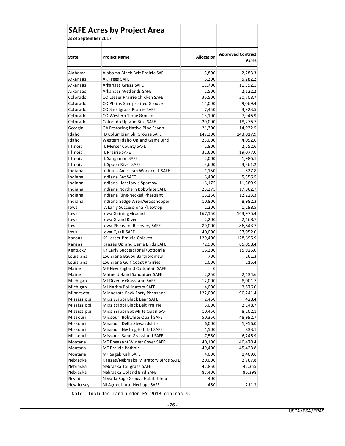|                      | <b>SAFE Acres by Project Area</b>    |                   |                                   |
|----------------------|--------------------------------------|-------------------|-----------------------------------|
| as of September 2017 |                                      |                   |                                   |
|                      |                                      |                   |                                   |
| State                | <b>Project Name</b>                  | <b>Allocation</b> | <b>Approved Contract</b><br>Acres |
| Alabama              | Alabama Black Belt Prairie SAF       | 3,800             | 2,283.3                           |
| Arkansas             | <b>AR Trees SAFE</b>                 | 6,200             | 5,282.2                           |
| Arkansas             | Arkansas Grass SAFE                  | 11,700            | 11,392.1                          |
| Arkansas             | Arkansas Wetlands SAFE               | 2,500             | 2,122.2                           |
| Colorado             | CO Lesser Prairie Chicken SAFE       | 36,500            | 30,708.7                          |
| Colorado             | CO Plains Sharp-tailed Grouse        | 14,000            | 9,069.4                           |
| Colorado             | CO Shortgrass Prairie SAFE           | 7,450             | 3,923.5                           |
| Colorado             | CO Western Slope Grouse              | 13,100            | 7,946.9                           |
| Colorado             | Colorado Upland Bird SAFE            | 20,000            | 18,276.7                          |
| Georgia              | GA Restoring Native Pine Savan       | 21,300            | 14,932.5                          |
| Idaho                | ID Columbian Sh. Grouse SAFE         | 147,300           | 143,017.9                         |
| Idaho                | Western Idaho Upland Game Bird       | 25,000            | 4,052.6                           |
| <b>Illinois</b>      | IL Mercer County SAFE                | 2,800             | 2,552.6                           |
| Illinois             | <b>IL Prairie SAFE</b>               | 32,600            | 19,077.0                          |
| Illinois             | IL Sangamon SAFE                     | 2,000             | 1,986.1                           |
| <b>Illinois</b>      | IL Spoon River SAFE                  | 3,600             | 3,361.2                           |
| Indiana              | Indiana American Woodcock SAFE       | 1,150             | 527.8                             |
| Indiana              | Indiana Bat SAFE                     | 6,400             | 5,356.5                           |
| Indiana              | Indiana Henslow's Sparrow            | 16,175            | 11,389.9                          |
| Indiana              | Indiana Northern Bobwhite SAFE       | 23,275            | 17,862.7                          |
| Indiana              | Indiana Ring-Necked Pheasant         | 15,150            | 12,223.3                          |
| Indiana              | Indiana Sedge Wren/Grasshopper       | 10,800            | 8,982.3                           |
| Iowa                 | IA Early Successional/Neotrop        | 1,200             | 1,198.5                           |
| Iowa                 | Iowa Gaining Ground                  | 167,150           | 163,975.4                         |
| Iowa                 | <b>Iowa Grand River</b>              | 2,200             | 2,168.7                           |
| Iowa                 | <b>Iowa Pheasant Recovery SAFE</b>   | 89,000            | 86,843.7                          |
| Iowa                 | <b>Iowa Quail SAFE</b>               | 40,000            | 37,952.0                          |
| Kansas               | KS Lesser Prairie-Chicken            | 129,400           | 128,695.9                         |
| Kansas               | Kansas Upland Game Birds SAFE        | 72,900            | 65,098.4                          |
| Kentucky             | KY Early Successional/Bottomla       | 16,200            | 15,925.0                          |
| Louisiana            | Louisiana Bayou Bartholomew          | 700               | 261.3                             |
| Louisiana            | Louisiana Gulf Coast Prairies        | 1,000             | 215.4                             |
| Maine                | ME New England Cottontail SAFE       | 0                 |                                   |
| Maine                | Maine Upland Sandpiper SAFE          | 2,250             | 2,134.6                           |
| Michigan             | MI Diverse Grassland SAFE            | 12,000            | 8,001.7                           |
| Michigan             | MI Native Pollinators SAFE           | 4,000             | 2,876.0                           |
| Minnesota            | Minnesota Back Forty Pheasant        | 122,000           | 90,241.4                          |
| Mississippi          | Mississippi Black Bear SAFE          | 2,450             | 428.4                             |
| Mississippi          | Mississippi Black Belt Prairie       | 5,000             | 2,148.7                           |
| Mississippi          | Mississippi Bobwhite Quail SAF       | 10,450            | 8,202.1                           |
| Missouri             | Missouri Bobwhite Quail SAFE         | 50,350            | 48,992.7                          |
| Missouri             | Missouri Delta Stewardship           | 6,000             | 1,956.0                           |
| Missouri             | Missouri Nesting Habitat SAFE        | 1,500             | 833.1                             |
| Missouri             | Missouri Sand Grassland SAFE         | 7,550             | 6,245.9                           |
| Montana              | MT Pheasant Winter Cover SAFE        | 40,100            | 40,470.4                          |
| Montana              | MT Prairie Pothole                   | 49,400            | 45,423.8                          |
| Montana              | MT Sagebrush SAFE                    | 4,000             | 1,409.6                           |
| Nebraska             | Kansas/Nebraska Migratory Birds SAFE | 20,000            | 2,767.8                           |
| Nebraska             | Nebraska Tallgrass SAFE              | 42,850            | 42,355                            |
| Nebraska             | Nebraska Upland Bird SAFE            | 87,400            | 86,398                            |
| Nevada               | Nevada Sage Grouse Habitat Imp       | 400               |                                   |
| New Jersey           | NJ Agricultural Heritage SAFE        | 450               | 211.3                             |

Note: Includes land under FY 2018 contracts.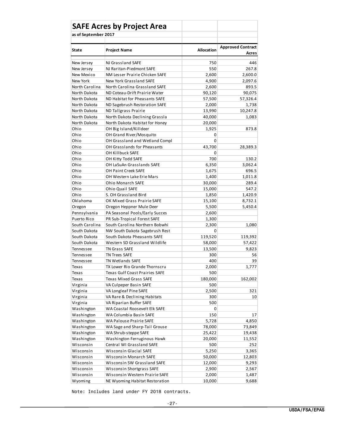|                      | <b>SAFE Acres by Project Area</b>  |                   |                                   |
|----------------------|------------------------------------|-------------------|-----------------------------------|
| as of September 2017 |                                    |                   |                                   |
|                      |                                    |                   |                                   |
| <b>State</b>         | <b>Project Name</b>                | <b>Allocation</b> | <b>Approved Contract</b><br>Acres |
| New Jersey           | NJ Grassland SAFE                  | 750               | 446                               |
| New Jersey           | NJ Raritan-Piedmont SAFE           | 550               | 267.8                             |
| New Mexico           | NM Lesser Prairie Chicken SAFE     | 2,600             | 2,600.0                           |
| New York             | New York Grassland SAFE            | 4,900             | 2,097.6                           |
| North Carolina       | North Carolina Grassland SAFE      | 2,600             | 893.5                             |
| North Dakota         | ND Coteau-Drift Prairie Water      | 90,120            | 90,075                            |
| North Dakota         | ND Habitat for Pheasants SAFE      | 57,500            | 57,326.4                          |
| North Dakota         | ND Sagebrush Restoration SAFE      | 2,000             | 1,738                             |
| North Dakota         | ND Tallgrass Prairie               | 13,990            | 10,247.8                          |
| North Dakota         | North Dakota Declining Grassla     | 40,000            | 1,083                             |
| North Dakota         | North Dakota Habitat for Honey     | 20,000            |                                   |
| Ohio                 | OH Big Island/Killdeer             | 1,925             | 873.8                             |
| Ohio                 | OH Grand River/Mosquito            | 0                 |                                   |
| Ohio                 | OH Grassland and Wetland Compl     | 0                 |                                   |
| Ohio                 | <b>OH Grasslands for Pheasants</b> | 43,700            | 28,389.3                          |
| Ohio                 | OH Killbuck SAFE                   | 0                 |                                   |
| Ohio                 | OH Kitty Todd SAFE                 | 700               | 130.2                             |
| Ohio                 | OH LaSuAn Grasslands SAFE          | 6,350             | 3,062.4                           |
| Ohio                 | <b>OH Paint Creek SAFE</b>         | 1,675             | 696.5                             |
| Ohio                 | OH Western Lake Erie Mars          | 1,400             | 1,011.8                           |
| Ohio                 | <b>Ohio Monarch SAFE</b>           | 30,000            | 289.4                             |
| Ohio                 | <b>Ohio Quail SAFE</b>             | 15,000            | 547.2                             |
| Ohio                 | S. OH Grassland Bird               | 1,850             | 1,420.9                           |
| Oklahoma             | OK Mixed Grass Prairie SAFE        | 15,100            | 8,732.1                           |
| Oregon               | Oregon Heppner Mule Deer           | 5,500             | 5,450.4                           |
| Pennsylvania         | PA Seasonal Pools/Early Succes     | 2,600             |                                   |
| Puerto Rico          | PR Sub-Tropical Forest SAFE        | 1,300             |                                   |
| South Carolina       | South Carolina Northern Bobwhi     | 2,300             | 1,080                             |
| South Dakota         | NW South Dakota Sagebrush Rest     | 0                 |                                   |
| South Dakota         | South Dakota Pheasants SAFE        | 119,520           | 119,392                           |
| South Dakota         | Western SD Grassland Wildlife      | 58,000            | 57,422                            |
| Tennessee            | <b>TN Grass SAFE</b>               | 13,500            | 9,823                             |
| Tennessee            | <b>TN Trees SAFE</b>               | 300               | 56                                |
| Tennessee            | <b>TN Wetlands SAFE</b>            | 400               | 39                                |
| Texas                | TX Lower Rio Grande Thornscru      | 2,000             | 1,777                             |
| Texas                | Texas Gulf Coast Prairies SAFE     | 500               |                                   |
| Texas                | Texas Mixed Grass SAFE             | 180,000           | 162,002                           |
| Virginia             | VA Culpeper Basin SAFE             | 500               |                                   |
| Virginia             | VA Longleaf Pine SAFE              | 2,500             | 321                               |
| Virginia             | VA Rare & Declining Habitats       | 300               | 10                                |
| Virginia             | VA Riparian Buffer SAFE            | 500               |                                   |
| Washington           | WA Coastal Roosevelt Elk SAFE      | 0                 |                                   |
| Washington           | WA Columbia Basin SAFE             | 150               | 17                                |
| Washington           | WA Palouse Prairie SAFE            | 5,728             | 4,850                             |
| Washington           | WA Sage and Sharp-Tail Grouse      | 78,000            | 73,849                            |
| Washington           | WA Shrub-steppe SAFE               | 25,422            | 19,438                            |
| Washington           | Washington Ferruginous Hawk        | 20,000            | 11,552                            |
| Wisconsin            | Central WI Grassland SAFE          | 500               | 252                               |
| Wisconsin            | Wisconsin Glacial SAFE             | 5,250             | 3,365                             |
| Wisconsin            | Wisconsin Monarch SAFE             | 50,000            | 12,803                            |
| Wisconsin            | Wisconsin SW Grassland SAFE        | 12,000            | 9,293                             |
| Wisconsin            | Wisconsin Shortgrass SAFE          | 2,900             | 2,567                             |
| Wisconsin            | Wisconsin Western Prairie SAFE     | 2,000             | 1,487                             |
| Wyoming              | NE Wyoming Habitat Restoration     | 10,000            | 9,688                             |

Note: Includes land under FY 2018 contracts.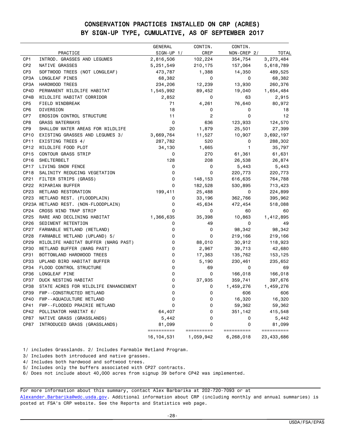### CONSERVATION PRACTICES INSTALLED ON CRP (ACRES) BY SIGN-UP TYPE, CUMULATIVE, AS OF SEPTEMBER 2017

|                          |                                                            | <b>GENERAL</b>  | CONTIN.         | CONTIN.          |                   |
|--------------------------|------------------------------------------------------------|-----------------|-----------------|------------------|-------------------|
|                          | PRACTICE                                                   | $SIGN-UP 1/$    | CREP            | NON-CREP 2/      | <b>TOTAL</b>      |
| CP <sub>1</sub>          | INTROD. GRASSES AND LEGUMES                                | 2,816,506       | 102,224         | 354,754          | 3,273,484         |
| CP <sub>2</sub>          | NATIVE GRASSES                                             | 5,251,549       | 210,175         | 157,064          | 5,618,789         |
| CP <sub>3</sub>          | SOFTWOOD TREES (NOT LONGLEAF)                              | 473,787         | 1,388           | 14,350           | 489,525           |
| CP3A                     | LONGLEAF PINES                                             | 68,382          | 0               | 0                | 68,382            |
| CP3A                     | HARDWOOD TREES                                             | 234,206         | 12,239          | 13,930           | 260,376           |
| CP4D                     | PERMANENT WILDLIFE HABITAT                                 | 1,545,992       | 89,452          | 19,040           | 1,654,484         |
| CP4B                     | WILDLIFE HABITAT CORRIDOR                                  | 2,852           | 0               | 63               | 2,915             |
| CP <sub>5</sub>          | FIELD WINDBREAK                                            | 71              | 4,261           | 76,640           | 80,972            |
| CP <sub>6</sub>          | DIVERSION                                                  | 18              | 0               | 0                | 18                |
| CP7                      | EROSION CONTROL STRUCTURE                                  | 11              | 2               | 0                | 12                |
| CP8                      | <b>GRASS WATERWAYS</b>                                     | 0               | 636             | 123,933          | 124,570           |
| CP <sub>9</sub>          | SHALLOW WATER AREAS FOR WILDLIFE                           | 20              | 1,879           | 25,501           | 27,399            |
| CP <sub>10</sub>         | EXISTING GRASSES AND LEGUMES 3/                            | 3,669,764       | 11,527          | 10,907           | 3,692,197         |
| CP <sub>11</sub>         | EXISTING TREES 4/                                          | 287,782         | 520             | 0                | 288,302           |
| CP <sub>12</sub>         | WILDLIFE FOOD PLOT                                         | 34,130          | 1,665           | 1                | 35,797            |
| CP <sub>15</sub>         | <b>CONTOUR GRASS STRIP</b>                                 | 0               | 270             | 61,361           | 61,631            |
| CP <sub>16</sub>         | SHELTERBELT                                                | 128             | 208             | 26,538           | 26,874            |
| CP17                     | LIVING SNOW FENCE                                          | 0               | 0               | 5,443            | 5,443             |
| CP <sub>18</sub>         | SALINITY REDUCING VEGETATION                               | 0               | 0               | 220,773          | 220,773           |
| CP21                     | FILTER STRIPS (GRASS)                                      | 0               | 148,153         | 616,635          | 764,788           |
| CP22                     | RIPARIAN BUFFER                                            | 0               | 182,528         | 530,895          | 713,423           |
| CP23                     | WETLAND RESTORATION                                        | 199,411         | 25,488          | 0                | 224,899           |
| CP <sub>23</sub>         | WETLAND REST. (FLOODPLAIN)                                 | 0               | 33,196          | 362,766          | 395,962           |
|                          | CP23A WETLAND REST. (NON-FLOODPLAIN)                       | 0<br>0          | 45,634          | 472,454          | 518,088           |
| CP <sub>24</sub>         | CROSS WIND TRAP STRIP                                      |                 | 0               | 60               | 60                |
| CP25<br>CP <sub>26</sub> | RARE AND DECLINING HABITAT                                 | 1,366,635       | 35,398          | 10,863<br>0      | 1,412,895         |
| <b>CP27</b>              | SEDIMENT RETENTION                                         | 0<br>0          | 49              |                  | 49                |
| CP <sub>28</sub>         | FARMABLE WETLAND (WETLAND)                                 | 0               | 0<br>0          | 98,342           | 98,342            |
| CP29                     | FARMABLE WETLAND (UPLAND) 5/                               | 0               |                 | 219,166          | 219,166           |
| <b>CP30</b>              | WILDLIFE HABITAT BUFFER (MARG PAST)                        |                 | 88,010          | 30,912           | 118,923           |
| CP31                     | WETLAND BUFFER (MARG PAST)                                 | 0<br>0          | 2,967           | 39,713           | 42,680            |
| CP33                     | BOTTOMLAND HARDWOOD TREES                                  | 0               | 17,363<br>5,190 | 135,762          | 153,125           |
| <b>CP34</b>              | UPLAND BIRD HABITAT BUFFER<br>FLOOD CONTROL STRUCTURE      | 0               | 69              | 230,461<br>0     | 235,652<br>69     |
| <b>CP36</b>              | LONGLEAF PINE                                              | 0               | 0               | 166,018          | 166,018           |
| <b>CP37</b>              | DUCK NESTING HABITAT                                       | 0               | 37,935          | 359,741          | 397,676           |
| <b>CP38</b>              | STATE ACRES FOR WILDLIFE ENHANCEMENT                       | 0               | 0               | 1,459,276        | 1,459,276         |
| CP39                     | FWP--CONSTRUCTED WETLAND                                   |                 |                 | 606              | 606               |
| CP40                     | FWP--AQUACULTURE WETLAND                                   | U               | U<br>0          |                  |                   |
| CP41                     |                                                            | 0<br>0          | 0               | 16,320<br>59,362 | 16,320            |
| CP42                     | FWP--FLOODED PRAIRIE WETLAND<br>POLLINATOR HABITAT 6/      |                 | 0               | 351,142          | 59,362<br>415,548 |
| CP87                     |                                                            | 64,407          | 0               | 0                |                   |
| CP87                     | NATIVE GRASS (GRASSLANDS)<br>INTRODUCED GRASS (GRASSLANDS) | 5,442<br>81,099 | 0               | 0                | 5,442<br>81,099   |
|                          |                                                            | ==========      | ==========      | ==========       | ==========        |
|                          |                                                            | 16, 104, 531    | 1,059,942       | 6,268,018        | 23, 433, 686      |

1/ includes Grasslands. 2/ Includes Farmable Wetland Program.

3/ Includes both introduced and native grasses.

4/ Includes both hardwood and softwood trees.

5/ Includes only the buffers associated with CP27 contracts.

6/ Does not include about 40,000 acres from signup 39 before CP42 was implemented.

For more information about this summary, contact Alex Barbarika at 202-720-7093 or at [Alexander.Barbarika@wdc.usda.gov.](mailto:Alexander.Barbarika@wdc.usda.gov) Additional information about CRP (including monthly and annual summaries) is posted at FSA's CRP website. See the Reports and Statistics web page.